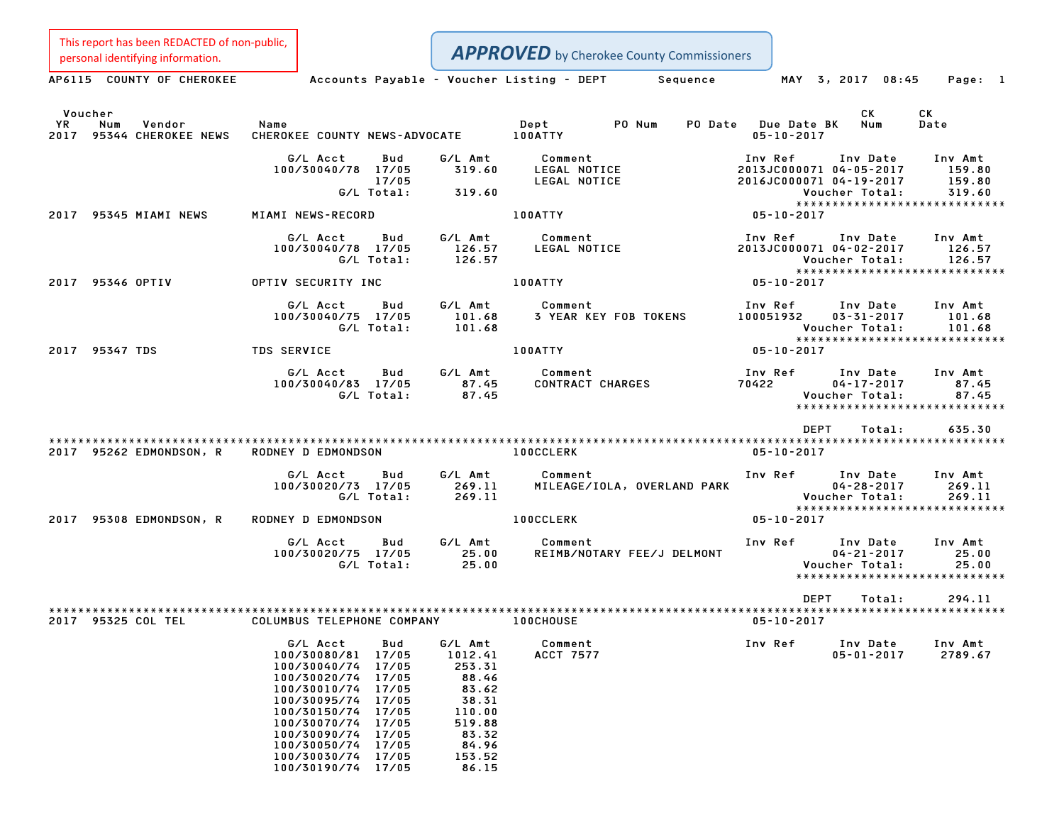| This report has been REDACTED of non-public,<br>personal identifying information. |                                                                                                                                                                                                                                                                                                 |                                                                                                                  | <b>APPROVED</b> by Cherokee County Commissioners |                                    |                                                                                  |                                                                         |
|-----------------------------------------------------------------------------------|-------------------------------------------------------------------------------------------------------------------------------------------------------------------------------------------------------------------------------------------------------------------------------------------------|------------------------------------------------------------------------------------------------------------------|--------------------------------------------------|------------------------------------|----------------------------------------------------------------------------------|-------------------------------------------------------------------------|
| AP6115 COUNTY OF CHEROKEE                                                         | Accounts Payable - Voucher Listing - DEPT                                                                                                                                                                                                                                                       |                                                                                                                  | Sequence                                         |                                    | MAY 3, 2017 08:45                                                                | Page: 1                                                                 |
| Voucher<br>Num<br>Vendor<br>ΥR<br>2017<br>95344 CHEROKEE NEWS                     | Name<br>CHEROKEE COUNTY NEWS-ADVOCATE                                                                                                                                                                                                                                                           |                                                                                                                  | PO Num<br>Dept<br>PO Date<br>100ATTY             | Due Date BK<br>$05 - 10 - 2017$    | СK<br>Num                                                                        | СK<br>Date                                                              |
|                                                                                   | G/L Acct<br>Bud<br>100/30040/78 17/05<br>17/05<br>G/L Total:                                                                                                                                                                                                                                    | G/L Amt<br>319.60<br>319.60                                                                                      | Comment<br>LEGAL NOTICE<br>LEGAL NOTICE          | Inv Ref                            | Inv Date<br>2013JC000071 04-05-2017<br>2016JC000071 04-19-2017<br>Voucher Total: | Inv Amt<br>159.80<br>159.80<br>319.60<br>****************************** |
| 95345 MIAMI NEWS<br>2017                                                          | MIAMI NEWS-RECORD                                                                                                                                                                                                                                                                               |                                                                                                                  | 100ATTY                                          | $05 - 10 - 2017$                   |                                                                                  |                                                                         |
|                                                                                   | G/L Acct<br>Bud<br>100/30040/78 17/05<br>G/L Total:                                                                                                                                                                                                                                             | G/L Amt<br>126.57<br>126.57                                                                                      | Comment<br>LEGAL NOTICE                          | Inv Ref<br>2013JC000071 04-02-2017 | Inv Date<br>Voucher Total:                                                       | Inv Amt<br>126.57<br>126.57<br>*****************************            |
| 95346 OPTIV<br>2017                                                               | OPTIV SECURITY INC                                                                                                                                                                                                                                                                              |                                                                                                                  | 100ATTY                                          | $05 - 10 - 2017$                   |                                                                                  |                                                                         |
|                                                                                   | G/L Acct<br>Bud<br>100/30040/75 17/05<br>G/L Total:                                                                                                                                                                                                                                             | G/L Amt<br>101.68<br>101.68                                                                                      | Comment<br><b>3 YEAR KEY FOB TOKENS</b>          | Inv Ref<br>100051932               | Inv Date<br>$03 - 31 - 2017$<br>Voucher Total:                                   | Inv Amt<br>101.68<br>101.68<br>*****************************            |
| 2017 95347 TDS                                                                    | <b>TDS SERVICE</b>                                                                                                                                                                                                                                                                              |                                                                                                                  | 100ATTY                                          | $05 - 10 - 2017$                   |                                                                                  |                                                                         |
|                                                                                   | G/L Acct<br>Bud<br>100/30040/83 17/05<br>G/L Total:                                                                                                                                                                                                                                             | G/L Amt<br>87.45<br>87.45                                                                                        | Comment<br>CONTRACT CHARGES                      | Inv Ref<br>70422                   | Inv Date<br>$04 - 17 - 2017$<br>Voucher Total:                                   | Inv Amt<br>87.45<br>87.45<br>*****************************              |
|                                                                                   |                                                                                                                                                                                                                                                                                                 |                                                                                                                  |                                                  | <b>DEPT</b>                        | Total:                                                                           | 635.30                                                                  |
| 2017 95262 EDMONDSON, R                                                           | RODNEY D EDMONDSON                                                                                                                                                                                                                                                                              |                                                                                                                  | <b>100CCLERK</b>                                 | $05 - 10 - 2017$                   |                                                                                  |                                                                         |
|                                                                                   | G/L Acct<br>Bud<br>100/30020/73 17/05<br>G/L Total:                                                                                                                                                                                                                                             | G/L Amt<br>269.11<br>269.11                                                                                      | Comment<br>MILEAGE/IOLA, OVERLAND PARK           | Inv Ref                            | Inv Date<br>$04 - 28 - 2017$<br>Voucher Total:                                   | Inv Amt<br>269.11<br>269.11<br>*****************************            |
| 95308 EDMONDSON, R<br>2017                                                        | RODNEY D EDMONDSON                                                                                                                                                                                                                                                                              |                                                                                                                  | <b>100CCLERK</b>                                 | $05 - 10 - 2017$                   |                                                                                  |                                                                         |
|                                                                                   | G/L Acct<br>Bud<br>100/30020/75 17/05<br>G/L Total:                                                                                                                                                                                                                                             | G/L Amt<br>25.00<br>25.00                                                                                        | Comment<br>REIMB/NOTARY FEE/J DELMONT            | Inv Ref                            | Inv Date<br>$04 - 21 - 2017$<br>Voucher Total:                                   | Inv Amt<br>25.00<br>25.00<br>*****************************              |
| 2017 95325 COL TEL                                                                | COLUMBUS TELEPHONE COMPANY                                                                                                                                                                                                                                                                      |                                                                                                                  | 100CHOUSE                                        | DEPT<br>$05 - 10 - 2017$           | Total:                                                                           | 294.11                                                                  |
|                                                                                   | G/L Acct<br>Bud<br>100/30080/81<br>17/05<br>100/30040/74<br>17/05<br>100/30020/74<br>17/05<br>100/30010/74<br>17/05<br>100/30095/74<br>17/05<br>100/30150/74<br>17/05<br>100/30070/74<br>17/05<br>100/30090/74<br>17/05<br>100/30050/74<br>17/05<br>100/30030/74<br>17/05<br>100/30190/74 17/05 | G/L Amt<br>1012.41<br>253.31<br>88.46<br>83.62<br>38.31<br>110.00<br>519.88<br>83.32<br>84.96<br>153.52<br>86.15 | Comment<br><b>ACCT 7577</b>                      | Inv Ref                            | Inv Date<br>05-01-2017                                                           | Inv Amt<br>2789.67                                                      |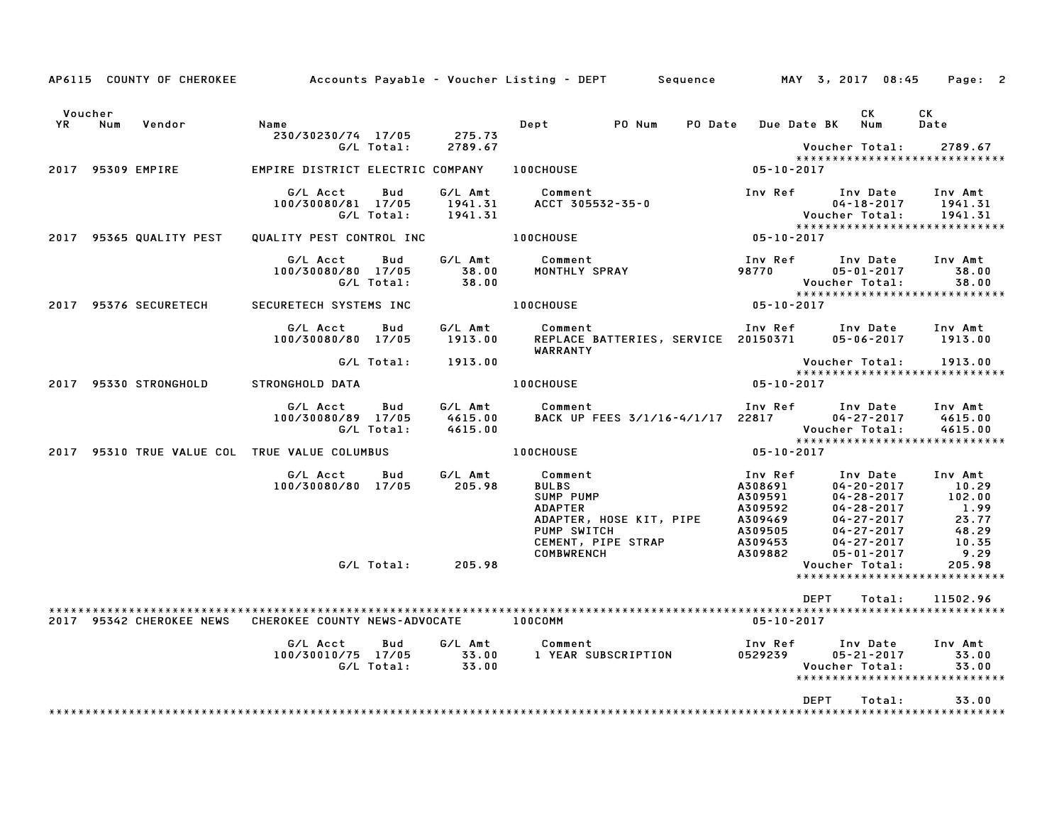|                      |     | AP6115 COUNTY OF CHEROKEE |                                               |                   |                               | Accounts Payable – Voucher Listing – DEPT         Sequence           MAY  3, 2017  08:45                               |                                                                           |                                                                                                                                  | Page: 2                                                        |
|----------------------|-----|---------------------------|-----------------------------------------------|-------------------|-------------------------------|------------------------------------------------------------------------------------------------------------------------|---------------------------------------------------------------------------|----------------------------------------------------------------------------------------------------------------------------------|----------------------------------------------------------------|
| Voucher<br><b>YR</b> | Num | Vendor                    | Name<br>230/30230/74 17/05                    |                   | 275.73                        | Dept<br>PO Num                                                                                                         | PO Date Due Date BK                                                       | CK<br>Num                                                                                                                        | CK<br>Date                                                     |
|                      |     | 2017 95309 EMPIRE         | EMPIRE DISTRICT ELECTRIC COMPANY 100CHOUSE    | G/L Total:        | 2789.67                       |                                                                                                                        | 05-10-2017                                                                | Voucher Total:                                                                                                                   | 2789.67<br>*****************************                       |
|                      |     |                           | G/L Acct<br>100/30080/81 17/05                | Bud<br>G/L Total: | G/L Amt<br>1941.31<br>1941.31 | Comment<br>ACCT 305532–35–0                                                                                            | Inv Ref                                                                   | Inv Date<br>$04 - 18 - 2017$<br>Voucher Total:                                                                                   | Inv Amt<br>1941.31<br>1941.31<br>***************************** |
|                      |     | 2017 95365 QUALITY PEST   | QUALITY PEST CONTROL INC                      |                   |                               | <b>100CHOUSE</b>                                                                                                       | $05 - 10 - 2017$                                                          |                                                                                                                                  |                                                                |
|                      |     |                           | G/L Acct<br>100/30080/80 17/05                | Bud<br>G/L Total: | G/L Amt<br>38.00<br>38.00     | Comment<br>Comment<br>MONTHLY SPRAY                                                                                    | Inv Ref<br>98770                                                          | Inv Date<br>$05 - 01 - 2017$<br>Voucher Total:                                                                                   | Inv Amt<br>38.00<br>38.00<br>*****************************     |
|                      |     | 2017 95376 SECURETECH     | SECURETECH SYSTEMS INC                        |                   |                               | <b>100CHOUSE</b>                                                                                                       | $05 - 10 - 2017$                                                          |                                                                                                                                  |                                                                |
|                      |     |                           | G/L Acct<br>100/30080/80 17/05                | Bud               | G/L Amt<br>1913.00            | Comment<br>REPLACE BATTERIES, SERVICE 20150371<br>WARRANTY                                                             | Inv Ref                                                                   | Inv Date<br>$05 - 06 - 2017$                                                                                                     | Inv Amt<br>1913.00                                             |
|                      |     |                           |                                               | G/L Total:        | 1913.00                       |                                                                                                                        |                                                                           | Voucher Total:                                                                                                                   | 1913.00                                                        |
|                      |     | 2017 95330 STRONGHOLD     | STRONGHOLD DATA                               |                   |                               | <b>100CHOUSE</b>                                                                                                       | 05-10-2017                                                                |                                                                                                                                  | *****************************                                  |
|                      |     |                           | G/L Acct<br>100/30080/89 17/05                | Bud<br>G/L Total: | G/L Amt<br>4615.00<br>4615.00 | Comment<br>BACK UP FEES 3/1/16-4/1/17 22817                                                                            | Inv Ref                                                                   | Inv Date<br>$04 - 27 - 2017$<br>Voucher Total:                                                                                   | Inv Amt<br>4615.00<br>4615.00                                  |
|                      |     |                           | 2017 95310 TRUE VALUE COL TRUE VALUE COLUMBUS |                   |                               | <b>100CHOUSE</b>                                                                                                       | 05-10-2017                                                                |                                                                                                                                  | *****************************                                  |
|                      |     |                           | G/L Acct<br>100/30080/80 17/05                | Bud               | G/L Amt<br>205.98             | Comment<br><b>BULBS</b><br>SUMP PUMP<br><b>ADAPTER</b><br>ADAPTER, HOSE KIT, PIPE<br>PUMP SWITCH<br>CEMENT, PIPE STRAP | Inv Ref<br>A308691<br>A309591<br>A309592<br>A309469<br>A309505<br>A309453 | Inv Date<br>$04 - 20 - 2017$<br>$04 - 28 - 2017$<br>$04 - 28 - 2017$<br>$04 - 27 - 2017$<br>$04 - 27 - 2017$<br>$04 - 27 - 2017$ | Inv Amt<br>10.29<br>102.00<br>1.99<br>23.77<br>48.29<br>10.35  |
|                      |     |                           |                                               | G/L Total:        | 205.98                        | <b>COMBWRENCH</b>                                                                                                      | A309882                                                                   | $05 - 01 - 2017$<br>Voucher Total:                                                                                               | 9.29<br>205.98<br>******************************               |
|                      |     |                           |                                               |                   |                               |                                                                                                                        |                                                                           | <b>DEPT</b><br>Total:                                                                                                            | 11502.96                                                       |
|                      |     | 2017 95342 CHEROKEE NEWS  | CHEROKEE COUNTY NEWS-ADVOCATE                 |                   |                               | 100COMM                                                                                                                | 05-10-2017                                                                |                                                                                                                                  |                                                                |
|                      |     |                           | G/L Acct<br>100/30010/75 17/05                | Bud<br>G/L Total: | G/L Amt<br>33.00<br>33.00     | Comment<br>1 YEAR SUBSCRIPTION                                                                                         | Inv Ref<br>0529239                                                        | Inv Date<br>$05 - 21 - 2017$<br>Voucher Total:                                                                                   | Inv Amt<br>33.00<br>33.00<br>*****************************     |
|                      |     |                           |                                               |                   |                               |                                                                                                                        |                                                                           | <b>DEPT</b><br>Total:                                                                                                            | 33.00                                                          |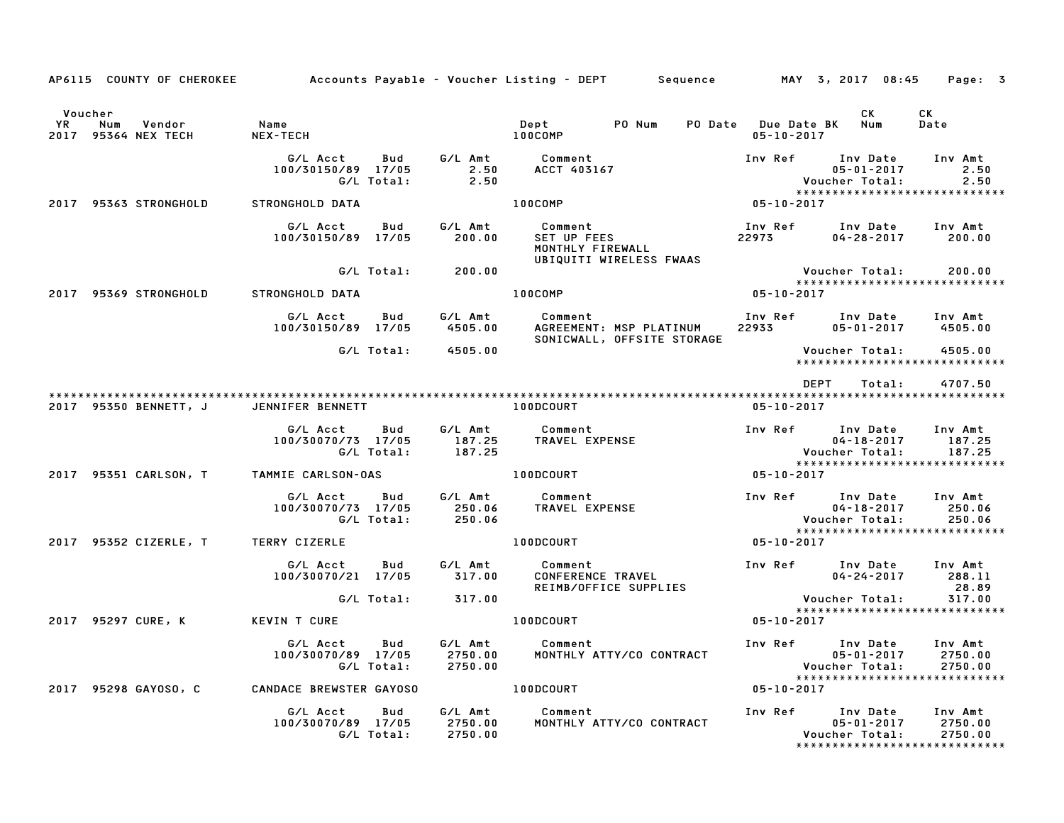| AP6115 COUNTY OF CHEROKEE                                       |                                                     |                               | Accounts Payable – Voucher Listing – DEPT         Sequence            | MAY 3, 2017 08:45                                                                          | Page: 3                       |
|-----------------------------------------------------------------|-----------------------------------------------------|-------------------------------|-----------------------------------------------------------------------|--------------------------------------------------------------------------------------------|-------------------------------|
| Voucher<br>YR<br>Num<br>Vendor<br><b>95364 NEX TECH</b><br>2017 | Name<br><b>NEX-TECH</b>                             |                               | PO Num<br>Dept<br>100COMP                                             | CK.<br>PO Date Due Date BK Num<br>$05 - 10 - 2017$                                         | CK<br>Date                    |
|                                                                 | G/L Acct<br>Bud<br>100/30150/89 17/05<br>G/L Total: | G/L Amt<br>2.50<br>2.50       | Comment<br><b>ACCT 403167</b>                                         | Inv Ref<br>Inv Date<br>$05 - 01 - 2017$<br>Voucher Total:                                  | Inv Amt<br>2.50<br>2.50       |
| 2017 95363 STRONGHOLD                                           | STRONGHOLD DATA                                     |                               | 100COMP                                                               | $05 - 10 - 2017$                                                                           |                               |
|                                                                 | G/L Acct<br>Bud<br>100/30150/89 17/05               | G/L Amt<br>200.00             | Comment<br>SET UP FEES<br>MONTHLY FIREWALL<br>UBIQUITI WIRELESS FWAAS | Inv Ref<br>Inv Date<br>22973<br>$04 - 28 - 2017$                                           | Inv Amt<br>200.00             |
|                                                                 | G/L Total:                                          | 200.00                        |                                                                       | Voucher Total:<br>*****************************                                            | 200.00                        |
| 2017 95369 STRONGHOLD                                           | STRONGHOLD DATA                                     |                               | 100COMP                                                               | 05-10-2017                                                                                 |                               |
|                                                                 | G/L Acct<br>Bud<br>100/30150/89 17/05               | G/L Amt<br>4505.00            | Comment<br>AGREEMENT: MSP PLATINUM<br>SONICWALL, OFFSITE STORAGE      | Inv Ref Inv Date<br>22933<br>05-01-2017                                                    | Inv Amt<br>4505.00            |
|                                                                 | G/L Total:                                          | 4505.00                       |                                                                       | Voucher Total:<br>*****************************                                            | 4505.00                       |
| 2017 95350 BENNETT, J                                           | JENNIFER BENNETT                                    |                               | <b>100DCOURT</b>                                                      | <b>DEPT</b><br>Total:<br>$05 - 10 - 2017$                                                  | 4707.50                       |
|                                                                 | G/L Acct<br>Bud<br>100/30070/73 17/05<br>G/L Total: | G/L Amt<br>187.25<br>187.25   | Comment<br>TRAVEL EXPENSE                                             | Inv Ref<br>Inv Date<br>$04 - 18 - 2017$<br>Voucher Total:                                  | Inv Amt<br>187.25<br>187.25   |
| 2017 95351 CARLSON, T                                           | TAMMIE CARLSON-OAS                                  |                               | 100DCOURT                                                             | ******************************<br>05-10-2017                                               |                               |
|                                                                 | G/L Acct<br>Bud<br>100/30070/73 17/05<br>G/L Total: | G/L Amt<br>250.06<br>250.06   | Comment<br>TRAVEL EXPENSE                                             | Inv Ref Inv Date<br>$04 - 18 - 2017$<br>Voucher Total:<br>*****************************    | Inv Amt<br>250.06<br>250.06   |
| 2017 95352 CIZERLE, T                                           | TERRY CIZERLE                                       |                               | 100DCOURT                                                             | 05-10-2017                                                                                 |                               |
|                                                                 | G/L Acct<br>Bud<br>100/30070/21 17/05               | G/L Amt<br>317.00             | Comment<br>CONFERENCE TRAVEL<br>REIMB/OFFICE SUPPLIES                 | Inv Ref<br>Inv Date<br>$04 - 24 - 2017$                                                    | Inv Amt<br>288.11<br>28.89    |
|                                                                 | G/L Total:                                          | 317.00                        |                                                                       | Voucher Total:<br>*****************************                                            | 317.00                        |
| 2017 95297 CURE, K                                              | <b>KEVIN T CURE</b>                                 |                               | 100DCOURT                                                             | 05-10-2017                                                                                 |                               |
|                                                                 | G/L Acct<br>Bud<br>100/30070/89 17/05<br>G/L Total: | G/L Amt<br>2750.00<br>2750.00 | Comment<br>MONTHLY ATTY/CO CONTRACT                                   | Inv Ref Inv Date<br>$05 - 01 - 2017$<br>Voucher Total:                                     | Inv Amt<br>2750.00<br>2750.00 |
| 2017 95298 GAYOSO, C                                            | CANDACE BREWSTER GAYOSO                             |                               | 100DCOURT                                                             | *****************************<br>$05 - 10 - 2017$                                          |                               |
|                                                                 | G/L Acct<br>Bud<br>100/30070/89 17/05<br>G/L Total: | G/L Amt<br>2750.00<br>2750.00 | Comment<br>MONTHLY ATTY/CO CONTRACT                                   | Inv Ref<br>Inv Date<br>$05 - 01 - 2017$<br>Voucher Total:<br>***************************** | Inv Amt<br>2750.00<br>2750.00 |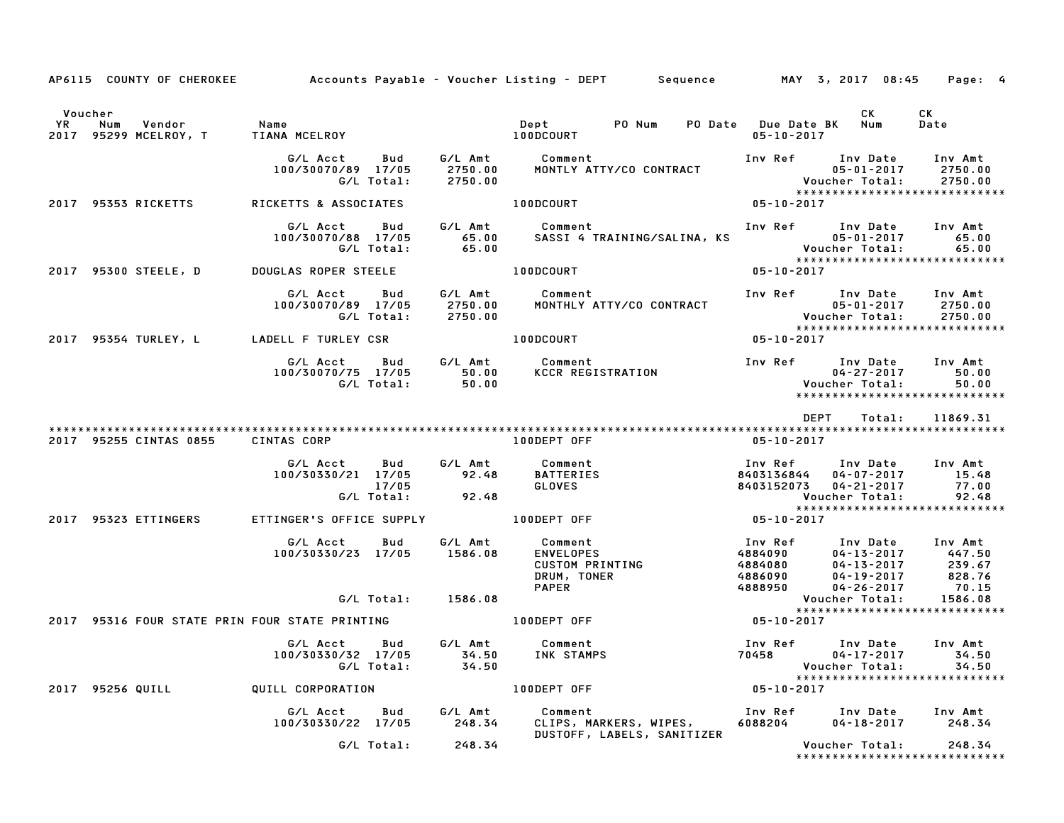|                                                                       |                                                                      |                           | AP6115 COUNTY OF CHEROKEE Accounts Payable - Voucher Listing - DEPT Sequence MAY 3, 2017 08:45 |                                                     |                                                                                                                                                                                                                                                                                                                                                                                                                                                                                     | Page: 4                                                                       |
|-----------------------------------------------------------------------|----------------------------------------------------------------------|---------------------------|------------------------------------------------------------------------------------------------|-----------------------------------------------------|-------------------------------------------------------------------------------------------------------------------------------------------------------------------------------------------------------------------------------------------------------------------------------------------------------------------------------------------------------------------------------------------------------------------------------------------------------------------------------------|-------------------------------------------------------------------------------|
| Voucher<br><b>YR</b><br>Num<br>Vendor<br>2017 95299 MCELROY, T        | Name<br><b>TIANA MCELROY</b>                                         |                           | Dept PO Num<br>100DCOURT                                                                       | PO Date Due Date BK Num<br>$05 - 10 - 2017$         | CK                                                                                                                                                                                                                                                                                                                                                                                                                                                                                  | CK<br>Date                                                                    |
|                                                                       | G/L Acct<br>Bud<br>100/30070/89 17/05<br>G/L Total:                  | 2750.00<br>2750.00        | G/L Amt Comment<br>MONTLY ATTY/CO CONTRACT                                                     | 05-01-2017<br>  Voucher Total                       | Inv Ref      Inv Date     Inv Amt                                                                                                                                                                                                                                                                                                                                                                                                                                                   | 2750.00<br>2750.00<br>*****************************                           |
| 2017 95353 RICKETTS                                                   | RICKETTS & ASSOCIATES                                                |                           | <b>100DCOURT</b>                                                                               | $05 - 10 - 2017$                                    |                                                                                                                                                                                                                                                                                                                                                                                                                                                                                     |                                                                               |
|                                                                       | G/L Acct<br>Bud<br>100/30070/88 17/05<br>G/L Total:                  | 65.00                     | G/L Amt Comment                                                                                |                                                     | Inv Ref Inv Date                                                                                                                                                                                                                                                                                                                                                                                                                                                                    | Inv Amt                                                                       |
| 2017 95300 STEELE, D                                                  | DOUGLAS ROPER STEELE                                                 |                           | 100DCOURT                                                                                      | $05 - 10 - 2017$                                    |                                                                                                                                                                                                                                                                                                                                                                                                                                                                                     |                                                                               |
|                                                                       | G/L Acct<br>Bud<br>100/30070/89 17/05<br>G/L Total:                  | 2750.00<br>2750.00        | G/L Amt Comment<br>MONTHLY ATTY/CO CONTRACT                                                    |                                                     | Inv Ref      Inv Date     Inv Amt<br>$05 - 01 - 2017$ 2750.00                                                                                                                                                                                                                                                                                                                                                                                                                       | 05-01-2017 2750.00<br>Voucher Total: 2750.00<br>***************************** |
| 2017 95354 TURLEY, L                                                  | LADELL F TURLEY CSR                                                  |                           | 100DCOURT                                                                                      | $05 - 10 - 2017$                                    |                                                                                                                                                                                                                                                                                                                                                                                                                                                                                     |                                                                               |
|                                                                       | 100/30070/75 17/05                                                   |                           | G/LAcct Bud G/LAmt Comment<br>00/30070/75 17/05 50.00 KCCRREGISTRATION<br>G/LTotal: 50.00      |                                                     | Inv Ref      Inv Date<br>$04 - 27 - 2017$ 50.00<br>$\begin{array}{ccccc}\n & \mathsf{u} & \mathsf{L} & \mathsf{L} & \mathsf{L} & \mathsf{L} & \mathsf{L} & \mathsf{L} & \mathsf{L} & \mathsf{L} & \mathsf{L} & \mathsf{L} & \mathsf{L} & \mathsf{L} & \mathsf{L} & \mathsf{L} & \mathsf{L} & \mathsf{L} & \mathsf{L} & \mathsf{L} & \mathsf{L} & \mathsf{L} & \mathsf{L} & \mathsf{L} & \mathsf{L} & \mathsf{L} & \mathsf{L} & \mathsf{L} & \mathsf{L} & \mathsf{L} & \mathsf{L} &$ | Inv Amt<br>50.00<br>*****************************                             |
|                                                                       |                                                                      |                           |                                                                                                | DEPT                                                | Total:                                                                                                                                                                                                                                                                                                                                                                                                                                                                              | 11869.31                                                                      |
| 2017 95255 CINTAS 0855                                                | CINTAS CORP                                                          |                           | 100DEPT OFF                                                                                    | 05-10-2017                                          |                                                                                                                                                                                                                                                                                                                                                                                                                                                                                     |                                                                               |
|                                                                       | G/L Acct<br>Bud<br>100/30330/21 17/05<br>17/05<br>G/L Total:         | G⁄L Amt<br>92.48<br>92.48 | Comment<br><b>BATTERIES</b><br>GLOVES                                                          | 8403136844                                          | Inv Ref      Inv Date     Inv Amt<br>04-07-2017 15.48<br>04-21-2017 77.00<br>8403152073 04-21-2017<br>Voucher Total:                                                                                                                                                                                                                                                                                                                                                                | 92.48                                                                         |
| 2017 95323 ETTINGERS                                                  | ETTINGER'S OFFICE SUPPLY 100DEPT OFF                                 |                           |                                                                                                | $05 - 10 - 2017$                                    |                                                                                                                                                                                                                                                                                                                                                                                                                                                                                     | *****************************                                                 |
|                                                                       | G/L Acct<br>Bud<br>100/30330/23 17/05                                | G/L Amt<br>1586.08        | Comment<br><b>ENVELOPES</b><br><b>CUSTOM PRINTING</b><br>DRUM, TONER<br><b>PAPER</b>           | Inv Ref<br>4884090<br>4884080<br>4886090<br>4888950 | Inv Date Inv Amt<br>04-13-2017<br>04-13-2017<br>04-19-2017<br>04-26-2017                                                                                                                                                                                                                                                                                                                                                                                                            | 447.50<br>239.67<br>828.76<br>70.15                                           |
|                                                                       | G/L Total: 1586.08                                                   |                           |                                                                                                |                                                     | Voucher Total:                                                                                                                                                                                                                                                                                                                                                                                                                                                                      | 1586.08<br>*****************************                                      |
| 2017 95316 FOUR STATE PRIN FOUR STATE PRINTING THE RESIDENCE REFT OFF |                                                                      |                           |                                                                                                | $05 - 10 - 2017$                                    |                                                                                                                                                                                                                                                                                                                                                                                                                                                                                     |                                                                               |
|                                                                       | G/L Acct<br>Bud<br>100/30330/32 17/05 34.50 INK STAMPS<br>G/L Total: | 34.50                     | G/L Amt Comment                                                                                | Inv Ref                                             | Inv Date<br>Voucher Total: 34.50                                                                                                                                                                                                                                                                                                                                                                                                                                                    | Inv Amt<br>*****************************                                      |
| 2017 95256 QUILL                                                      | QUILL CORPORATION                                                    |                           | 100DEPT OFF                                                                                    | $05 - 10 - 2017$                                    |                                                                                                                                                                                                                                                                                                                                                                                                                                                                                     |                                                                               |
|                                                                       | G/L Acct<br>Bud<br>100/30330/22 17/05                                | G/L Amt<br>248.34         | Comment<br>CLIPS, MARKERS, WIPES,<br>DUSTOFF, LABELS, SANITIZER                                | Inv Ref<br>6088204                                  | Inv Date<br>$04 - 18 - 2017$                                                                                                                                                                                                                                                                                                                                                                                                                                                        | Inv Amt<br>248.34                                                             |
|                                                                       | G/L Total:                                                           | 248.34                    |                                                                                                |                                                     | Voucher Total:<br>*****************************                                                                                                                                                                                                                                                                                                                                                                                                                                     | 248.34                                                                        |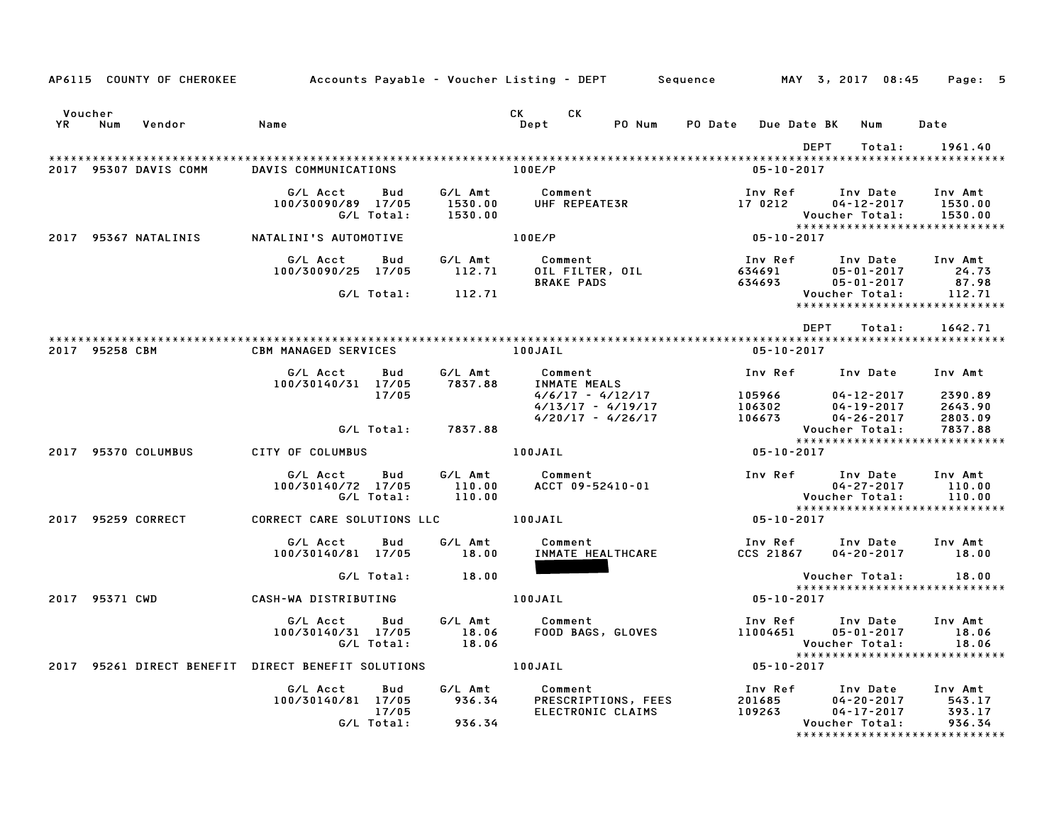|                      |                | AP6115 COUNTY OF CHEROKEE |                                                    |                            |                               | Accounts Payable – Voucher Listing – DEPT         Sequence     |                             | MAY 3, 2017 08:45                                                                                   | Page: 5                               |
|----------------------|----------------|---------------------------|----------------------------------------------------|----------------------------|-------------------------------|----------------------------------------------------------------|-----------------------------|-----------------------------------------------------------------------------------------------------|---------------------------------------|
| Voucher<br><b>YR</b> | Num            | Vendor                    | Name                                               |                            |                               | CK L<br>CK<br>Dept<br>PO Num                                   | PO Date                     | <b>Due Date BK</b><br>Num                                                                           | Date                                  |
|                      |                |                           |                                                    |                            |                               |                                                                |                             | DEPT<br>Total:                                                                                      | 1961.40                               |
|                      |                | 2017 95307 DAVIS COMM     | DAVIS COMMUNICATIONS                               |                            |                               | 100E/P                                                         | 05-10-2017                  |                                                                                                     |                                       |
|                      |                |                           | G/L Acct<br>100/30090/89 17/05                     | Bud<br>G/L Total:          | G/L Amt<br>1530.00<br>1530.00 | Comment<br>UHF REPEATE3R                                       | Inv Ref<br>17 0212          | Inv Date<br>$04 - 12 - 2017$<br>Voucher Total:<br>*****************************                     | Inv Amt<br>1530.00<br>1530.00         |
|                      |                | 2017 95367 NATALINIS      | NATALINI'S AUTOMOTIVE                              |                            |                               | 100E/P                                                         | 05-10-2017                  |                                                                                                     |                                       |
|                      |                |                           |                                                    |                            |                               |                                                                |                             |                                                                                                     |                                       |
|                      |                |                           | G/L Acct<br>100/30090/25 17/05                     | Bud                        | G/L Amt<br>112.71             | Comment<br>OIL FILTER, OIL<br><b>BRAKE PADS</b>                | Inv Ref<br>634691<br>634693 | Inv Date<br>05-01-2017<br>$05 - 01 - 2017$                                                          | Inv Amt<br>24.73<br>87.98             |
|                      |                |                           |                                                    | G/L Total:                 | 112.71                        |                                                                |                             | Voucher Total:<br>*****************************                                                     | 112.71                                |
|                      |                |                           |                                                    |                            |                               |                                                                |                             |                                                                                                     |                                       |
|                      |                |                           |                                                    |                            |                               |                                                                |                             | <b>DEPT</b><br>Total:                                                                               | 1642.71                               |
|                      | 2017 95258 CBM |                           | <b>CBM MANAGED SERVICES</b>                        |                            |                               | 100JAIL                                                        | $05 - 10 - 2017$            |                                                                                                     |                                       |
|                      |                |                           | G/L Acct<br>100/30140/31 17/05                     | Bud                        | G/L Amt<br>7837.88            | Comment<br><b>INMATE MEALS</b>                                 | Inv Ref                     | Inv Date                                                                                            | Inv Amt                               |
|                      |                |                           |                                                    | 17/05                      |                               | 4/6/17 - 4/12/17<br>$4/13/17 - 4/19/17$<br>$4/20/17 - 4/26/17$ | 105966<br>106302<br>106673  | $04 - 12 - 2017$<br>$04 - 19 - 2017$<br>$04 - 26 - 2017$                                            | 2390.89<br>2643.90<br>2803.09         |
|                      |                |                           |                                                    | G/L Total:                 | 7837.88                       |                                                                |                             | Voucher Total:                                                                                      | 7837.88                               |
|                      |                | 2017 95370 COLUMBUS       | CITY OF COLUMBUS                                   |                            |                               | 100JAIL                                                        | 05-10-2017                  | *****************************                                                                       |                                       |
|                      |                |                           | G/L Acct<br>100/30140/72 17/05                     | Bud<br>G/L Total:          | G/L Amt<br>110.00<br>110.00   | Comment<br>ACCT 09-52410-01                                    | Inv Ref                     | Inv Date<br>$04 - 27 - 2017$<br>Voucher Total:                                                      | Inv Amt<br>110.00<br>110.00           |
|                      |                | 2017 95259 CORRECT        | CORRECT CARE SOLUTIONS LLC                         |                            |                               | 100JAIL                                                        | $05 - 10 - 2017$            | ******************************                                                                      |                                       |
|                      |                |                           |                                                    |                            |                               |                                                                |                             |                                                                                                     |                                       |
|                      |                |                           | G/L Acct<br>100/30140/81 17/05                     | Bud                        | G/L Amt<br>18.00              | Comment<br>INMATE HEALTHCARE                                   | Inv Ref<br>CCS 21867        | Inv Date<br>$04 - 20 - 2017$                                                                        | Inv Amt<br>18.00                      |
|                      |                |                           |                                                    | G/L Total:                 | 18.00                         |                                                                |                             | Voucher Total:                                                                                      | 18.00                                 |
|                      | 2017 95371 CWD |                           | CASH-WA DISTRIBUTING                               |                            |                               | 100JAIL                                                        | 05-10-2017                  | *****************************                                                                       |                                       |
|                      |                |                           | G/L Acct<br>100/30140/31 17/05                     | Bud<br>G/L Total:          | G/L Amt<br>18.06<br>18.06     | Comment<br>FOOD BAGS, GLOVES                                   | Inv Ref<br>11004651         | Inv Date<br>$05 - 01 - 2017$<br>Voucher Total:                                                      | Inv Amt<br>18.06<br>18.06             |
|                      |                |                           | 2017 95261 DIRECT BENEFIT DIRECT BENEFIT SOLUTIONS |                            |                               | 100JAIL                                                        | $05 - 10 - 2017$            | *****************************                                                                       |                                       |
|                      |                |                           |                                                    |                            |                               |                                                                |                             |                                                                                                     |                                       |
|                      |                |                           | G/L Acct<br>100/30140/81 17/05                     | Bud<br>17/05<br>G/L Total: | G/L Amt<br>936.34<br>936.34   | Comment<br>PRESCRIPTIONS, FEES<br>ELECTRONIC CLAIMS            | Inv Ref<br>201685<br>109263 | Inv Date<br>$04 - 20 - 2017$<br>$04 - 17 - 2017$<br>Voucher Total:<br>***************************** | Inv Amt<br>543.17<br>393.17<br>936.34 |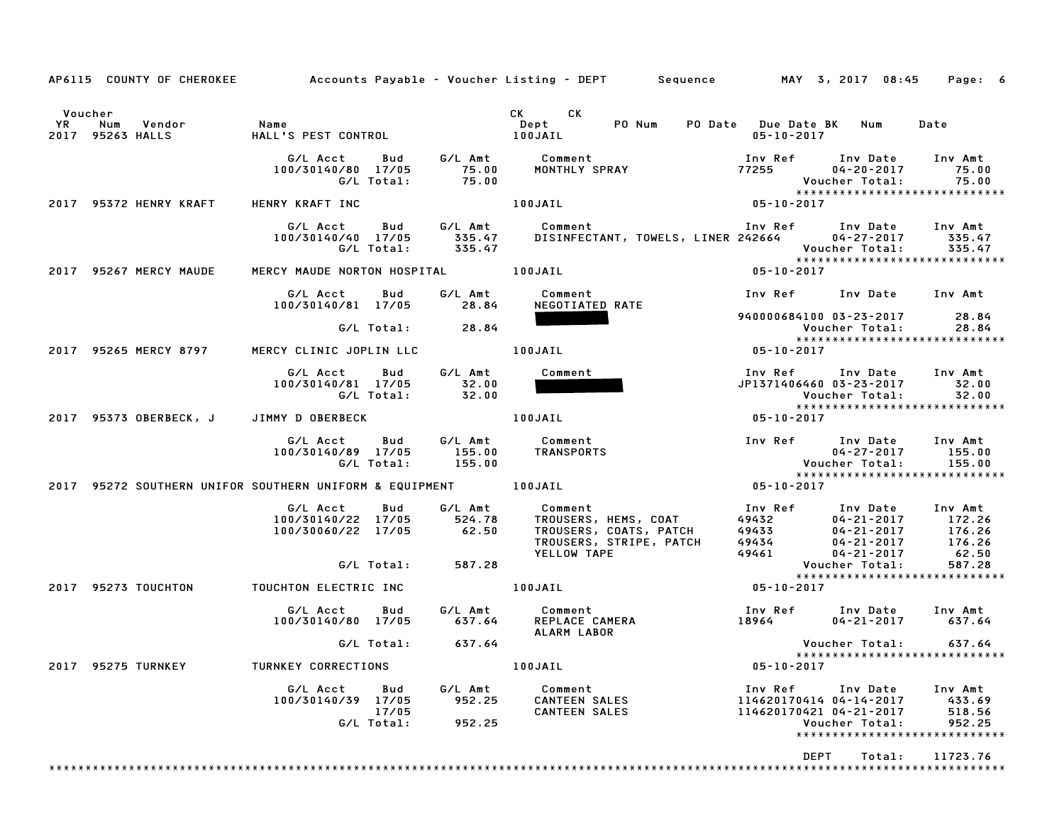|                                                                 |                                                      |                            |                             | AP6115 COUNTY OF CHEROKEE Accounts Payable – Voucher Listing – DEPT Sequence MAY 3, 2017 08:45 |                                                               |                                                                                                   | Page: 6                                                                                                                      |
|-----------------------------------------------------------------|------------------------------------------------------|----------------------------|-----------------------------|------------------------------------------------------------------------------------------------|---------------------------------------------------------------|---------------------------------------------------------------------------------------------------|------------------------------------------------------------------------------------------------------------------------------|
| Voucher                                                         |                                                      |                            |                             | CK CK                                                                                          |                                                               |                                                                                                   |                                                                                                                              |
| <b>YR</b><br>Num Vendor<br>2017 95263 HALLS                     | <b>Name</b><br>HALL'S PEST CONTROL 100JAIL           |                            |                             | Dept PONum                                                                                     | $05 - 10 - 2017$                                              | PO Date Due Date BK Num                                                                           | Date                                                                                                                         |
|                                                                 | 100/30140/80 17/05                                   | G/L Total:                 | 75.00<br>75.00              | MONTHLY SPRAY                                                                                  | 77255                                                         | Inv Ref Inv Date Inv Amt<br>04-20-2017<br>Voucher Total:                                          | 75.00<br>75.00<br>VOUCNer lotal; د ۱۵۲۵<br>۲۰۰۲ - ۲۰۰۲ - ۲۰۰۲ - ۲۰۰۲ - ۲۰۰۲ - ۲۰۰۲ - ۲۰۰۲ - ۲۰۰۲ - ۲۰۰۲ - ۲۰۰۲ - ۲۰۰۲ - ۲۰۰۲ |
| 2017 95372 HENRY KRAFT                                          | HENRY KRAFT INC                                      |                            |                             | 100JAIL                                                                                        | $05 - 10 - 2017$                                              |                                                                                                   |                                                                                                                              |
|                                                                 |                                                      |                            |                             |                                                                                                |                                                               |                                                                                                   | *****************************                                                                                                |
| 2017 95267 MERCY MAUDE                                          | MERCY MAUDE NORTON HOSPITAL 100JAIL                  |                            |                             |                                                                                                | 05-10-2017                                                    |                                                                                                   |                                                                                                                              |
|                                                                 | G/L Acct<br>100/30140/81 17/05 28.84                 |                            |                             | Bud G/L Amt Comment<br>NEGOTIATED RATE                                                         |                                                               | Inv Ref      Inv Date     Inv Amt                                                                 |                                                                                                                              |
|                                                                 |                                                      | G/L Total:                 | 28.84                       |                                                                                                |                                                               | 940000684100 03-23-2017 28.84<br>Voucher Total:                                                   | 28.84<br>*****************************                                                                                       |
| 2017 95265 MERCY 8797 MERCY CLINIC JOPLIN LLC                   |                                                      |                            |                             | 100JAIL                                                                                        | 05-10-2017                                                    |                                                                                                   |                                                                                                                              |
|                                                                 | G/L Acct<br>100/30140/81 17/05                       | <b>Bud</b><br>G/L Total:   | G/L Amt<br>32.00<br>32.00   | Comment                                                                                        | <b>Voucher Total:</b>                                         | Inv Ref Inv Date Inv Amt<br>JP1371406460 03-23-2017 32.00                                         | 32.00                                                                                                                        |
| 2017 95373 OBERBECK, J                                          | JIMMY D OBERBECK                                     |                            | 100JAIL                     |                                                                                                | 05-10-2017                                                    |                                                                                                   |                                                                                                                              |
|                                                                 | G/L Acct<br>100/30140/89 17/05                       | G/L Total:                 | 155.00<br>155.00            | Bud G/L Amt Comment<br>TRANSPORTS                                                              |                                                               | Inv Ref Inv Date<br>$04 - 27 - 2017$<br>Voucher Total:                                            | Inv Amt<br>155.00<br>155.00<br>*****************************                                                                 |
| 2017 95272 SOUTHERN UNIFOR SOUTHERN UNIFORM & EQUIPMENT 100JAIL |                                                      |                            |                             |                                                                                                | $05 - 10 - 2017$                                              |                                                                                                   |                                                                                                                              |
|                                                                 | G/L Acct<br>100/30140/22 17/05<br>100/30060/22 17/05 | Bud                        | 524.78<br>62.50             | G/L Amt Comment                                                                                |                                                               | 49433<br>49433 - 04-21-2017 - 176.26<br>49434 - 04-21-2017 - 176.26<br>49461 - 04-21-2017 - 62.50 |                                                                                                                              |
|                                                                 |                                                      |                            | G/L Total: 587.28           |                                                                                                |                                                               | Voucher Total:                                                                                    | 587.28                                                                                                                       |
| 2017 95273 TOUCHTON                                             |                                                      |                            |                             | TOUCHTON ELECTRIC INC <b>100JAIL</b>                                                           | $05 - 10 - 2017$                                              |                                                                                                   | *****************************                                                                                                |
|                                                                 | G/L Acct<br>100/30140/80 17/05                       | Bud                        | 637.64                      | G/L Amt Comment<br>REPLACE CAMERA<br>ALARM LABOR                                               | 18964                                                         | Inv Ref      Inv Date<br>04-21-2017 637.64                                                        | Inv Amt                                                                                                                      |
|                                                                 |                                                      | G/L Total:                 | 637.64                      |                                                                                                |                                                               | Voucher Total: 637.64                                                                             |                                                                                                                              |
| 2017 95275 TURNKEY                                              | TURNKEY CORRECTIONS                                  |                            |                             | 100JAIL                                                                                        | $05 - 10 - 2017$                                              |                                                                                                   | *****************************                                                                                                |
|                                                                 | G/L Acct<br>100/30140/39 17/05                       | Bud<br>17/05<br>G/L Total: | G/L Amt<br>952.25<br>952.25 | Comment<br><b>CANTEEN SALES</b><br><b>CANTEEN SALES</b>                                        | Inv Ref<br>114620170414 04-14-2017<br>114620170421 04-21-2017 | Inv Date<br>Voucher Total:                                                                        | Inv Amt<br>433.69<br>518.56<br>952.25<br>*****************************                                                       |
|                                                                 |                                                      |                            |                             |                                                                                                |                                                               |                                                                                                   |                                                                                                                              |
|                                                                 |                                                      |                            |                             |                                                                                                | DEPT                                                          | Total:                                                                                            | 11723.76                                                                                                                     |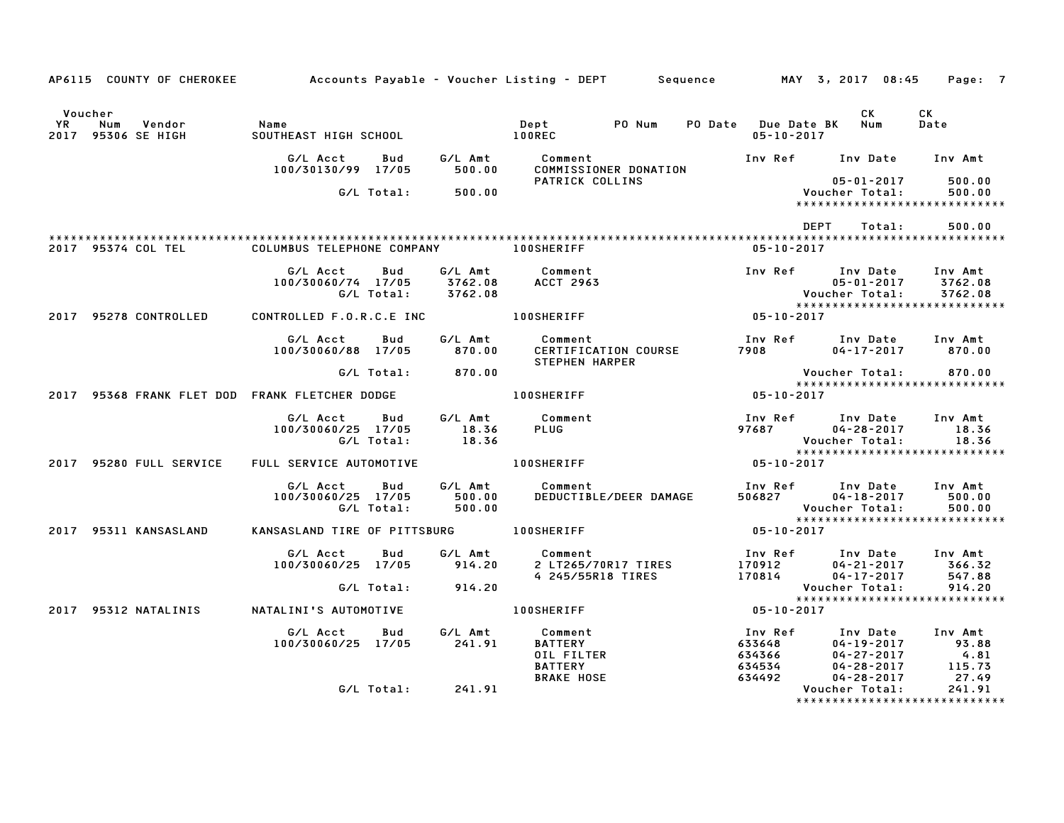|               | AP6115 COUNTY OF CHEROKEE Accounts Payable – Voucher Listing – DEPT Sequence MAY 3, 2017 08:45 Page: 7 |                                         |                   |                      |                                                                         |                                          |                  |                                             |                       |                                                            |                                                                                      |  |
|---------------|--------------------------------------------------------------------------------------------------------|-----------------------------------------|-------------------|----------------------|-------------------------------------------------------------------------|------------------------------------------|------------------|---------------------------------------------|-----------------------|------------------------------------------------------------|--------------------------------------------------------------------------------------|--|
|               |                                                                                                        |                                         |                   |                      |                                                                         |                                          |                  |                                             |                       |                                                            |                                                                                      |  |
| Voucher<br>YR | Num<br>Vendor<br>2017 95306 SE HIGH                                                                    | Name                                    |                   |                      | Dept                                                                    | PO Num                                   |                  | PO Date Due Date BK Num<br>$05 - 10 - 2017$ |                       | <b>CK</b>                                                  | <b>CK</b><br>Date                                                                    |  |
|               |                                                                                                        | G/L Acct<br>100/30130/99 17/05          |                   | Bud G/LAmt<br>500.00 | Comment                                                                 | COMMISSIONER DONATION                    |                  |                                             |                       |                                                            | Inv Ref Inv Date Inv Amt                                                             |  |
|               |                                                                                                        |                                         | G/L Total:        | 500.00               | PATRICK COLLINS                                                         |                                          |                  |                                             | Voucher Total:        | 05-01-2017                                                 | 500.00<br>500.00                                                                     |  |
|               |                                                                                                        |                                         |                   |                      |                                                                         |                                          |                  |                                             |                       |                                                            | *****************************                                                        |  |
|               |                                                                                                        |                                         |                   |                      |                                                                         |                                          |                  |                                             | DEPT                  | Total:                                                     | 500.00                                                                               |  |
|               | 2017 95374 COL TEL                                                                                     | COLUMBUS TELEPHONE COMPANY 100SHERIFF   |                   |                      |                                                                         |                                          |                  | $05 - 10 - 2017$                            |                       |                                                            |                                                                                      |  |
|               |                                                                                                        | G/L Acct<br>100/30060/74 17/05          | Bud               | 3762.08              | G/L Amt Comment<br>ACCT 2963                                            |                                          |                  | Inv Ref      Inv Date                       | <b>Voucher Total:</b> | 05-01-2017                                                 | Inv Amt<br>3762.08<br>3762.08                                                        |  |
|               | 2017 95278 CONTROLLED                                                                                  | CONTROLLED F.O.R.C.E INC 100SHERIFF     |                   |                      |                                                                         |                                          |                  | $05 - 10 - 2017$                            |                       |                                                            |                                                                                      |  |
|               |                                                                                                        | G/L Acct   Bud<br>100/30060/88 17/05    |                   | G/L Amt              | Comment<br>870.00 CERTIFICATION COURSE                                  | STEPHEN HARPER                           |                  | 7908                                        |                       |                                                            | Inv Ref Inv Date Inv Amt<br>$04 - 17 - 2017$ 870.00                                  |  |
|               |                                                                                                        |                                         |                   | G/L Total: 870.00    |                                                                         |                                          |                  |                                             |                       |                                                            | Voucher Total: 870.00<br>****************************                                |  |
|               | 2017 95368 FRANK FLET DOD FRANK FLETCHER DODGE                                                         |                                         |                   |                      | <b>100SHERIFF</b>                                                       |                                          | $05 - 10 - 2017$ |                                             |                       |                                                            |                                                                                      |  |
|               |                                                                                                        | G/L Acct<br>100/30060/25 17/05          | G/L Total:        | 18.36<br>18.36       | Bud G/L Amt Comment<br>PLUG                                             |                                          |                  | 97687                                       | Voucher Total:        | $04 - 28 - 2017$                                           | Inv Ref      Inv Date     Inv Amt<br>18.36<br>18.36<br>***************************** |  |
|               | 2017 95280 FULL SERVICE                                                                                | FULL SERVICE AUTOMOTIVE                 |                   |                      | 100SHERIFF                                                              |                                          |                  | $05 - 10 - 2017$                            |                       |                                                            |                                                                                      |  |
|               |                                                                                                        | G/L Acct<br>100/30060/25 17/05          | Bud<br>G/L Total: | 500.00<br>500.00     | G/L Amt Comment                                                         | DEDUCTIBLE/DEER DAMAGE                   |                  | 506827                                      | Voucher Total:        | $04 - 18 - 2017$                                           | Inv Ref Inv Date Inv Amt<br>500.00<br>500.00                                         |  |
|               | 2017 95311 KANSASLAND                                                                                  | KANSASLAND TIRE OF PITTSBURG 100SHERIFF |                   |                      |                                                                         |                                          |                  | $05 - 10 - 2017$                            |                       |                                                            |                                                                                      |  |
|               |                                                                                                        | G/L Acct<br>100/30060/25 17/05          | Bud               | 914.20               | G/L Amt Comment                                                         | 2 LT265/70R17 TIRES<br>4 245/55R18 TIRES |                  | 170912 04-21-2017<br>170814 04-17-2017      |                       |                                                            | Inv Ref Inv Date Inv Amt<br>170912 04-21-2017 366.32<br>366.32<br>547.88             |  |
|               |                                                                                                        |                                         |                   | G/L Total: 914.20    |                                                                         |                                          |                  |                                             | Voucher Total:        |                                                            | 914.20<br>*****************************                                              |  |
|               | 2017 95312 NATALINIS                                                                                   | NATALINI'S AUTOMOTIVE                   |                   |                      | <b>100SHERIFF</b>                                                       |                                          |                  | $05 - 10 - 2017$                            |                       |                                                            |                                                                                      |  |
|               |                                                                                                        | G/L Acct<br>100/30060/25 17/05          | Bud               | G⁄L Amt<br>241.91    | Comment<br>BATTERY<br>OIL FILTER<br><b>BATTERY</b><br><b>BRAKE HOSE</b> |                                          |                  | 633648<br>634366<br>634534<br>634492        |                       | 04-19-2017<br>04-27-2017<br>04-28-2017<br>$04 - 28 - 2017$ | Inv Ref      Inv Date     Inv Amt<br>93.88<br>$73.88$<br>4.81<br>115.73<br>27.49     |  |
|               |                                                                                                        |                                         | G/L Total:        | 241.91               |                                                                         |                                          |                  |                                             | Voucher Total:        |                                                            | 241.91                                                                               |  |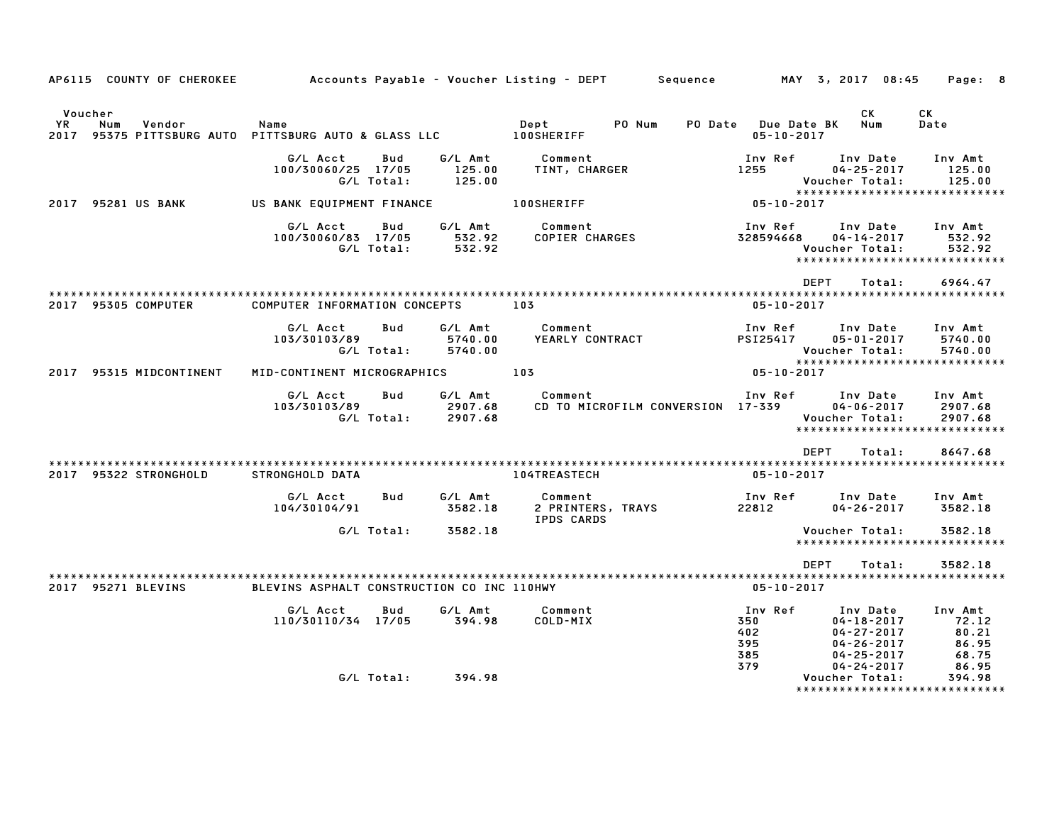| AP6115 COUNTY OF CHEROKEE                                                              |                                            |                   |                               | Accounts Payable – Voucher Listing – DEPT         Sequence |                                         | MAY 3, 2017 08:45                                                                        | Page: 8                                     |
|----------------------------------------------------------------------------------------|--------------------------------------------|-------------------|-------------------------------|------------------------------------------------------------|-----------------------------------------|------------------------------------------------------------------------------------------|---------------------------------------------|
| Voucher<br>Num<br>Vendor<br>YR<br>2017 95375 PITTSBURG AUTO PITTSBURG AUTO & GLASS LLC | Name                                       |                   |                               | PO Num<br>Dept<br><b>100SHERIFF</b>                        | PO Date Due Date BK<br>$05 - 10 - 2017$ | CK<br>Num                                                                                | CK<br>Date                                  |
|                                                                                        | G/L Acct<br>100/30060/25 17/05             | Bud<br>G/L Total: | G/L Amt<br>125.00<br>125.00   | Comment<br>TINT, CHARGER                                   | Inv Ref<br>1255                         | Inv Date<br>$04 - 25 - 2017$<br>Voucher Total:<br>******************************         | Inv Amt<br>125.00<br>125.00                 |
| 2017 95281 US BANK                                                                     | US BANK EQUIPMENT FINANCE                  |                   |                               | 100SHERIFF                                                 | $05 - 10 - 2017$                        |                                                                                          |                                             |
|                                                                                        | G/L Acct<br>100/30060/83 17/05             | Bud<br>G/L Total: | G/L Amt<br>532.92<br>532.92   | Comment<br><b>COPIER CHARGES</b>                           | Inv Ref<br>328594668                    | Inv Date<br>$04 - 14 - 2017$<br>Voucher Total:<br>******************************         | Inv Amt<br>532.92<br>532.92                 |
|                                                                                        |                                            |                   |                               |                                                            |                                         | <b>DEPT</b><br>Total:                                                                    | 6964.47                                     |
| 2017 95305 COMPUTER                                                                    | COMPUTER INFORMATION CONCEPTS              |                   |                               | 103                                                        | $05 - 10 - 2017$                        |                                                                                          |                                             |
|                                                                                        | G/L Acct<br>103/30103/89                   | Bud<br>G/L Total: | G/L Amt<br>5740.00<br>5740.00 | Comment<br>YEARLY CONTRACT                                 | Inv Ref<br>PSI25417                     | Inv Date<br>$05 - 01 - 2017$<br>Voucher Total:<br>******************************         | Inv Amt<br>5740.00<br>5740.00               |
| 2017 95315 MIDCONTINENT                                                                | MID-CONTINENT MICROGRAPHICS                |                   |                               | 103                                                        | $05 - 10 - 2017$                        |                                                                                          |                                             |
|                                                                                        | G/L Acct<br>103/30103/89                   | Bud<br>G/L Total: | G/L Amt<br>2907.68<br>2907.68 | Comment<br>CD TO MICROFILM CONVERSION 17-339               | Inv Ref                                 | Inv Date<br>$04 - 06 - 2017$<br><b>Voucher Total:</b><br>******************************  | Inv Amt<br>2907.68<br>2907.68               |
|                                                                                        |                                            |                   |                               |                                                            |                                         | DEPT<br>Total:                                                                           | 8647.68                                     |
| 2017 95322 STRONGHOLD                                                                  | STRONGHOLD DATA                            |                   |                               | 104TREASTECH                                               | $05 - 10 - 2017$                        |                                                                                          |                                             |
|                                                                                        | G/L Acct<br>104/30104/91                   | Bud               | G/L Amt<br>3582.18            | Comment<br>2 PRINTERS, TRAYS<br><b>IPDS CARDS</b>          | Inv Ref<br>22812                        | Inv Date<br>$04 - 26 - 2017$                                                             | Inv Amt<br>3582.18                          |
|                                                                                        |                                            | G/L Total:        | 3582.18                       |                                                            |                                         | Voucher Total:<br>*****************************                                          | 3582.18                                     |
|                                                                                        |                                            |                   |                               |                                                            |                                         | <b>DEPT</b><br>Total:                                                                    | 3582.18                                     |
| 2017 95271 BLEVINS                                                                     | BLEVINS ASPHALT CONSTRUCTION CO INC 110HWY |                   |                               |                                                            | $05 - 10 - 2017$                        |                                                                                          |                                             |
|                                                                                        | G/L Acct<br>110/30110/34 17/05             | Bud               | G/L Amt<br>394.98             | Comment<br>COLD-MIX                                        | Inv Ref<br>350<br>402<br>395<br>385     | Inv Date<br>$04 - 18 - 2017$<br>$04 - 27 - 2017$<br>$04 - 26 - 2017$<br>$04 - 25 - 2017$ | Inv Amt<br>72.12<br>80.21<br>86.95<br>68.75 |
|                                                                                        |                                            | G/L Total:        | 394.98                        |                                                            | 379                                     | $04 - 24 - 2017$<br>Voucher Total:<br>******************************                     | 86.95<br>394.98                             |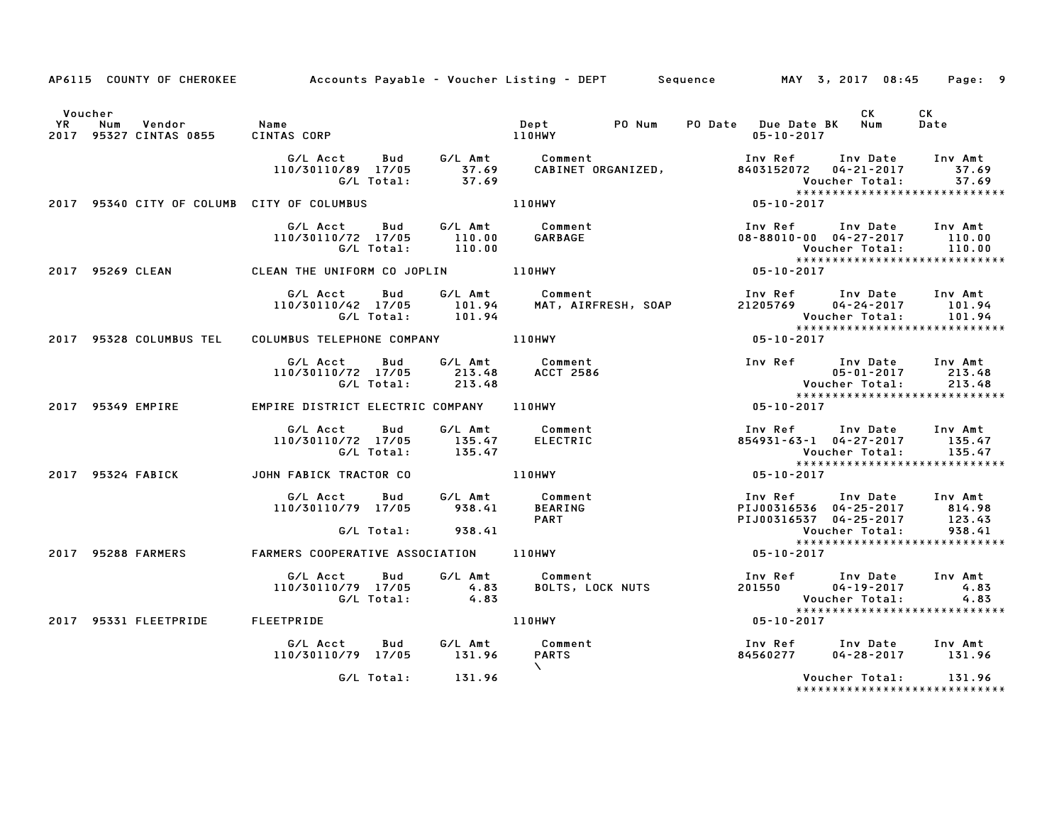|                                                               |                                                                                                 |                   |                                                                                       | AP6115 COUNTY OF CHEROKEE Accounts Payable - Voucher Listing - DEPT Sequence MAY 3, 2017 08:45 Page: 9                                                                                                                          |  |
|---------------------------------------------------------------|-------------------------------------------------------------------------------------------------|-------------------|---------------------------------------------------------------------------------------|---------------------------------------------------------------------------------------------------------------------------------------------------------------------------------------------------------------------------------|--|
|                                                               |                                                                                                 |                   |                                                                                       |                                                                                                                                                                                                                                 |  |
|                                                               |                                                                                                 |                   |                                                                                       | G/L Acct Bud G/L Amt Comment Inv Ref Inv Date Inv Amt<br>110/30110/89 17/05 37.69 CABINET ORGANIZED, 8403152072 04–21–2017 37.69<br>6/L Total: 37.69 S/L Total: 37.69<br>******************************                         |  |
|                                                               |                                                                                                 |                   | 2017 95340 CITY OF COLUMB CITY OF COLUMBUS AND MALL RESERVES TO A RESERVE THE RESERVE | Vouc<br>*****<br>05-10-2017                                                                                                                                                                                                     |  |
|                                                               |                                                                                                 |                   |                                                                                       | G/L Acct Bud G/L Amt Comment Inv Ref Inv Date Inv Amt<br>110/30110/72 17/05 110.00 GARBAGE 08-88010-00 04-27-2017 110.00<br>C/L Total: 110.00 Voucher Total: 110.00<br>2017 95269 CLEAN THE UNIFORM CO JOPLIN 110HWY 05-10-2017 |  |
|                                                               |                                                                                                 |                   |                                                                                       |                                                                                                                                                                                                                                 |  |
|                                                               | G/L Acct  Bud  G/L Amt  Comment<br>110/30110/42 17/05  101.94  MAT, AIRFF<br>G/L Total:  101.94 |                   |                                                                                       | Comment Inv Ref Inv Date Inv Amt<br>MAT, AIRFRESH, SOAP 21205769 04-24-2017 101.94<br>Voucher Total: 101.94<br>Voucher Total: 101.94<br>D5-10-2017                                                                              |  |
| 2017 95328 COLUMBUS TEL                                       |                                                                                                 |                   | COLUMBUS TELEPHONE COMPANY 110HWY                                                     |                                                                                                                                                                                                                                 |  |
|                                                               | G/L Acct  Bud  G/L Amt  Comment<br>110/30110/72 17/05  213.48  ACCT  2586<br>G/L Total:  213.48 |                   |                                                                                       |                                                                                                                                                                                                                                 |  |
| 2017 95349 EMPIRE                                             | EMPIRE DISTRICT ELECTRIC COMPANY 110HWY                                                         |                   |                                                                                       | $05 - 10 - 2017$                                                                                                                                                                                                                |  |
|                                                               | G/L Acct  Bud  G/L Amt  Comment<br>110/30110/72 17/05  135.47  ELECTRIC<br>G/L Total:  135.47   |                   |                                                                                       | Inv Ref Inv Date Inv Amt<br>854931–63–1 04–27–2017 135.47<br>Voucher Total: 135.47<br>Exails Martin 135.47<br>*****************************                                                                                     |  |
| 2017 95324 FABICK     JOHN FABICK TRACTOR CO           110HWY |                                                                                                 |                   |                                                                                       | $05 - 10 - 2017$                                                                                                                                                                                                                |  |
|                                                               | G/L Acct  Bud  G/L Amt  Comment<br>110/30110/79  17/05  938.41  BEARING                         |                   | <b>PART</b>                                                                           |                                                                                                                                                                                                                                 |  |
|                                                               |                                                                                                 | G/L Total: 938.41 |                                                                                       |                                                                                                                                                                                                                                 |  |
| 2017 95288 FARMERS                                            |                                                                                                 |                   | FARMERS COOPERATIVE ASSOCIATION 110HWY                                                |                                                                                                                                                                                                                                 |  |
|                                                               |                                                                                                 |                   |                                                                                       | G/L Acct Bud G/L Amt Comment Inv Ref Inv Date Inv Amt<br>110/30110/79 17/05 4.83 BOLTS, LOCK NUTS 201550 04-19-2017 4.83<br>G/L Total: 4.83 6<br>Voucher Total: 4.83<br>*******************************<br>05-10-2017           |  |
| 2017 95331 FLEETPRIDE                                         | <b>FLEETPRIDE</b>                                                                               |                   | 110HWY                                                                                |                                                                                                                                                                                                                                 |  |
|                                                               |                                                                                                 |                   | G/L Acct  Bud  G/L Amt  Comment<br>110/30110/79  17/05  131.96  PARTS<br>$N \sim 1$   | Inv Ref Inv Date Inv Amt<br>$84560277$ $04-28-2017$ $131.96$                                                                                                                                                                    |  |
|                                                               |                                                                                                 | G/L Total: 131.96 |                                                                                       | Voucher Total: 131.96<br>*****************************                                                                                                                                                                          |  |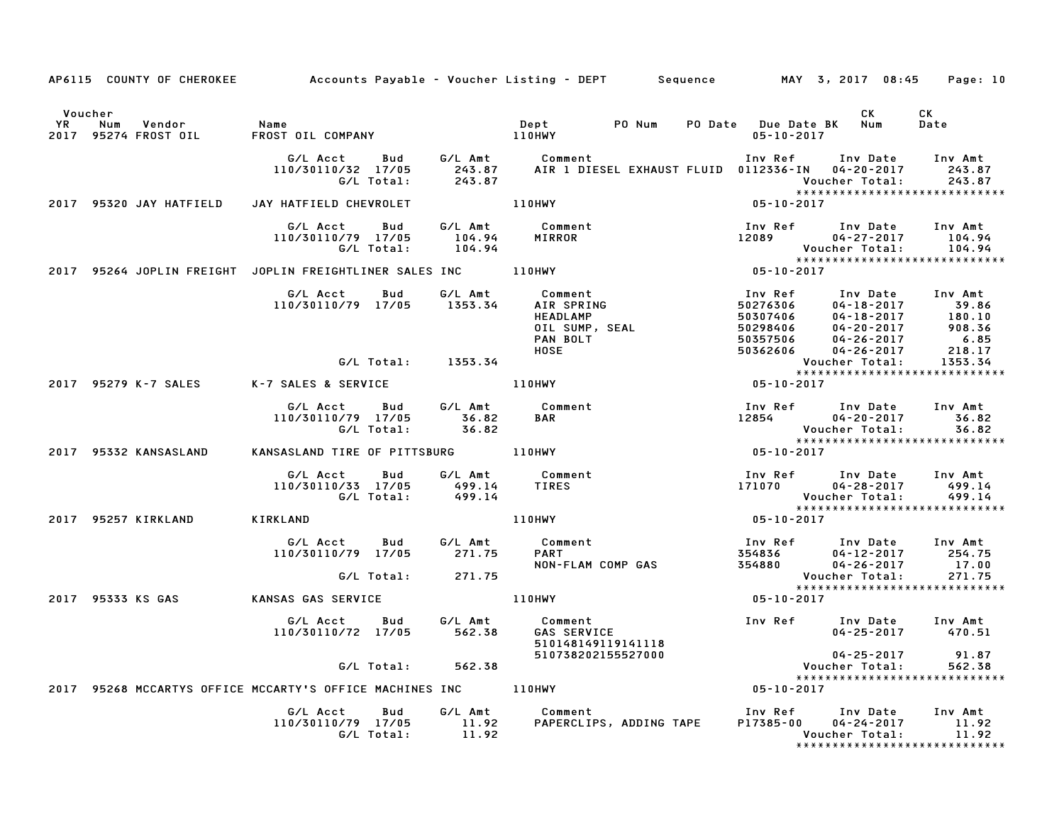|                              |                                  |                                                                 |                             | AP6115 COUNTY OF CHEROKEE 6 Accounts Payable – Voucher Listing – DEPT Sequence MAY 3, 2017 08:45 Page: 10 |                                                                     |                                                                                                              |                                             |
|------------------------------|----------------------------------|-----------------------------------------------------------------|-----------------------------|-----------------------------------------------------------------------------------------------------------|---------------------------------------------------------------------|--------------------------------------------------------------------------------------------------------------|---------------------------------------------|
| Voucher<br><b>YR</b><br>2017 | Vendor<br>Num<br>95274 FROST OIL | Name<br>FROST OIL COMPANY                                       |                             | Dept 60 PO Num PO Date Due Date BK Num<br><b>110HWY</b>                                                   | $05 - 10 - 2017$                                                    | <b>CK</b>                                                                                                    | CK<br>Date                                  |
|                              |                                  | G/L Acct<br>Bud<br>110/30110/32 17/05<br>G/L Total:             | 243.87                      |                                                                                                           |                                                                     | Inv Ref Inv Date Inv Amt<br>Voucher Total:                                                                   | 243.87<br>243.87                            |
|                              | 2017 95320 JAY HATFIELD          | JAY HATFIELD CHEVROLET                                          | 110HWY                      |                                                                                                           | $05 - 10 - 2017$                                                    |                                                                                                              |                                             |
|                              |                                  | G/L Acct Bud<br>110/30110/79 17/05<br>G/L Total:                | G/L Amt<br>104.94<br>104.94 | Comment<br>MIRROR                                                                                         |                                                                     | Inv Ref      Inv Date     Inv Amt<br>$12089$ $04-27-2017$<br>Voucher Total:                                  | 104.94<br>104.94                            |
|                              |                                  | 2017 95264 JOPLIN FREIGHT JOPLIN FREIGHTLINER SALES INC 110HWY  |                             |                                                                                                           | $05 - 10 - 2017$                                                    |                                                                                                              |                                             |
|                              |                                  | G/L Acct<br>Bud<br>110/30110/79 17/05 1353.34                   |                             | G/L Amt Comment<br>WY<br>Comment<br>AIR SPRING<br>HEADLAMP 5<br>OIL SUMP, SEAL<br>PAN BOLT                | Inv Ref<br>50276306<br>50307406<br>50298406<br>50357506<br>50362606 | Inv Date Inv Amt<br>04-18-2017<br>$04 - 18 - 2017$<br>$04 - 20 - 2017$<br>04-26-2017<br>04-26-2017           | 39.86<br>180.10<br>908.36<br>6.85<br>218.17 |
|                              |                                  | G/L Total: 1353.34                                              |                             |                                                                                                           |                                                                     | Voucher Total:<br>*****************************                                                              | 1353.34                                     |
|                              | 2017 95279 K-7 SALES             | K-7 SALES & SERVICE                                             |                             | 110HWY                                                                                                    | $05 - 10 - 2017$                                                    |                                                                                                              |                                             |
|                              |                                  | G/L Acct Bud<br>110/30110/79 17/05<br>G/L Total:                | 36.82<br>36.82              | G/L Amt Comment<br>BAR                                                                                    | 12854                                                               | Inv Ref Inv Date<br>04-20-2017<br>Voucher Total:                                                             | Inv Amt<br>36.82<br>36.82                   |
|                              | 2017 95332 KANSASLAND            | KANSASLAND TIRE OF PITTSBURG 110HWY                             |                             |                                                                                                           | 05-10-2017                                                          |                                                                                                              |                                             |
|                              |                                  | G/L Acct<br>Bud<br>110/30110/33 17/05<br>G/L Total:             | 499.14<br>499.14            | G/L Amt Comment<br>TIRES                                                                                  |                                                                     | Inv Ref Inv Date<br>171070 04–28–2017<br>Voucher Total:<br>*****************************                     | Inv Amt<br>499.14<br>499.14                 |
|                              | 2017 95257 KIRKLAND              | <b>KIRKLAND</b>                                                 |                             | <b>110HWY</b>                                                                                             | $05 - 10 - 2017$                                                    |                                                                                                              |                                             |
|                              |                                  | G/L Acct<br>Bud<br>110/30110/79 17/05<br>G/L Total:             | G/L Amt<br>271.75<br>271.75 | Comment<br><b>PART</b><br>NON-FLAM COMP GAS                                                               | 354836<br>354880                                                    | Inv Ref      Inv Date     Inv Amt<br>04-12-2017 254.75<br>$04 - 26 - 2017$<br>Voucher Total:                 | 17.00<br>271.75                             |
|                              | 2017 95333 KS GAS                | KANSAS GAS SERVICE                                              |                             | 110HWY                                                                                                    | $05 - 10 - 2017$                                                    | *****************************                                                                                |                                             |
|                              |                                  | G/L Acct Bud<br>110/30110/72 17/05 562.38                       | G/L Amt                     | Comment<br>GAS SERVICE<br>510148149119141118                                                              |                                                                     | Inv Ref Inv Date<br>$04 - 25 - 2017$                                                                         | Inv Amt<br>470.51                           |
|                              |                                  | G/L Total: 562.38                                               |                             | 510738202155527000                                                                                        |                                                                     | $04 - 25 - 2017$<br>Voucher Total:                                                                           | 91.87<br>562.38                             |
|                              |                                  | 2017 95268 MCCARTYS OFFICE MCCARTY'S OFFICE MACHINES INC 110HWY |                             |                                                                                                           | $05 - 10 - 2017$                                                    | *****************************                                                                                |                                             |
|                              |                                  | G/L Acct<br>Bud<br>110/30110/79 17/05<br>G/L Total:             | G/L Amt<br>11.92<br>11.92   | Comment<br>PAPERCLIPS, ADDING TAPE                                                                        |                                                                     | Inv Ref      Inv Date     Inv Amt<br>P17385-00 04-24-2017<br>Voucher Total:<br>***************************** | 11.92<br>11.92                              |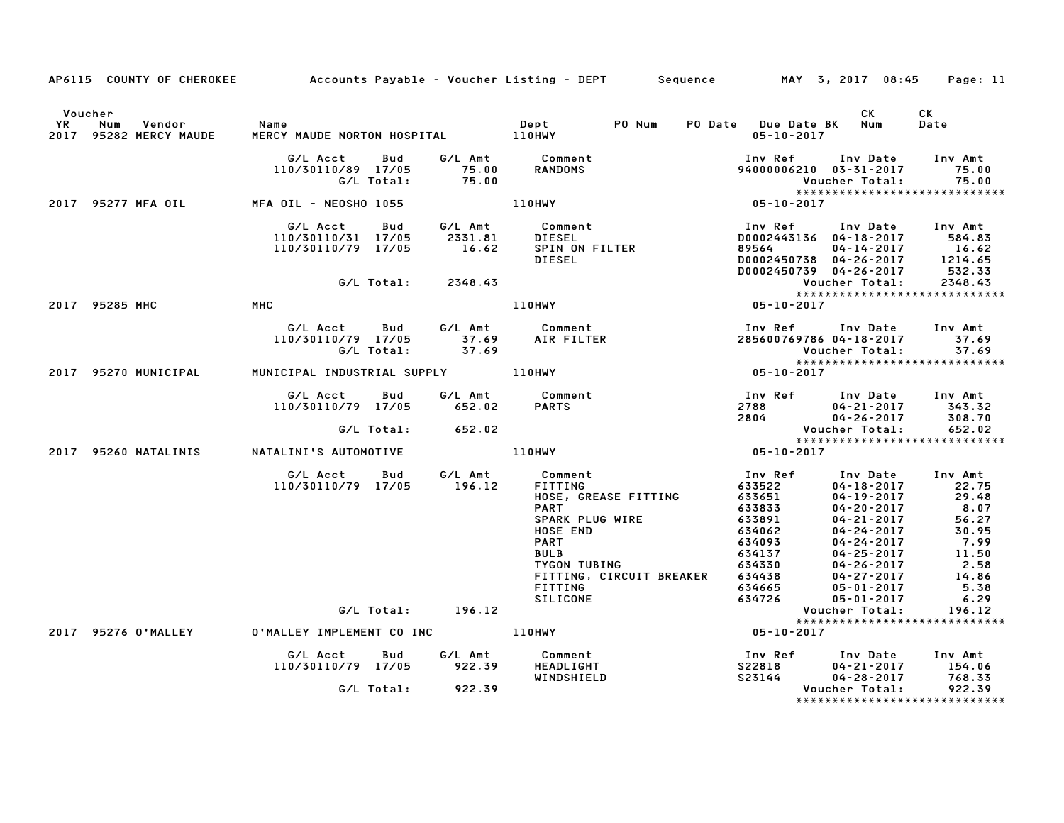|           |                                                    |                                                      |                                                                           | AP6115 COUNTY OF CHEROKEE Accounts Payable - Voucher Listing - DEPT Sequence MAY 3, 2017 08:45                                                                                               |                                                                                                                       |                                                                                                                                                                                                                    | Page: 11                                                                                              |
|-----------|----------------------------------------------------|------------------------------------------------------|---------------------------------------------------------------------------|----------------------------------------------------------------------------------------------------------------------------------------------------------------------------------------------|-----------------------------------------------------------------------------------------------------------------------|--------------------------------------------------------------------------------------------------------------------------------------------------------------------------------------------------------------------|-------------------------------------------------------------------------------------------------------|
| <b>YR</b> | Voucher<br>Vendor<br>Num<br>2017 95282 MERCY MAUDE | Name                                                 |                                                                           | PO Num                                                                                                                                                                                       | PO Date Due Date BK Num<br>05-10-2017                                                                                 | CK                                                                                                                                                                                                                 | CK<br>Date                                                                                            |
|           |                                                    | G/L Acct<br>110/30110/89 17/05<br>G/L Total:         | Bud                                                                       | G/L Amt         Comment<br>75.00         RANDOMS<br>75.00                                                                                                                                    | Inv Ref<br>94000006210 03-31-2017                                                                                     | Inv Date<br>Voucher Total:                                                                                                                                                                                         | Inv Amt<br>75.00<br>75.00                                                                             |
|           | 2017 95277 MFA OIL                                 | MFA OIL - NEOSHO 1055                                |                                                                           | 110HWY                                                                                                                                                                                       | $05 - 10 - 2017$                                                                                                      |                                                                                                                                                                                                                    | *****************************                                                                         |
|           |                                                    | G/L Acct<br>110/30110/31 17/05<br>110/30110/79 17/05 | Bud<br>2331.81<br>16.62                                                   | G/L Amt Comment<br>DIESEL<br>SPIN ON FILTER<br><b>DIESEL</b>                                                                                                                                 | Inv Ref<br>D0002443136 04-18-2017 584.83<br>89564<br>D0002450738 04-26-2017<br>D0002450739 04-26-2017                 | Inv Date Inv Amt<br>04-14-2017 16.62<br>04-26-2017 1214.65<br>04-26-2017 532.33                                                                                                                                    | 532.33                                                                                                |
|           |                                                    |                                                      | G/L Total: 2348.43                                                        |                                                                                                                                                                                              |                                                                                                                       | Voucher Total:                                                                                                                                                                                                     | 2348.43                                                                                               |
|           | 2017 95285 MHC                                     | <b>MHC</b>                                           |                                                                           | 110HWY                                                                                                                                                                                       | $***$<br>05-10-2017                                                                                                   |                                                                                                                                                                                                                    | *****************************                                                                         |
|           |                                                    | G/L Acct Bud<br>110/30110/79 17/05                   | 37.69<br>G/L Total: 37.69                                                 | G/L Amt Comment<br>37.69 AIR FILTER                                                                                                                                                          | Inv Ref Inv Date Inv Amt<br>285600769786 04-18-2017 37.69                                                             | Voucher Total:                                                                                                                                                                                                     | 37.69                                                                                                 |
|           | 2017 95270 MUNICIPAL                               | MUNICIPAL INDUSTRIAL SUPPLY 110HWY                   |                                                                           |                                                                                                                                                                                              | $05 - 10 - 2017$                                                                                                      |                                                                                                                                                                                                                    | *****************************                                                                         |
|           |                                                    | G/L Acct Bud<br>110/30110/79 17/05                   | 652.02                                                                    | G/L Amt Comment<br><b>PARTS</b>                                                                                                                                                              | 2804                                                                                                                  | 04-21-2017 343.32<br>$04 - 26 - 2017$                                                                                                                                                                              | 308.70                                                                                                |
|           |                                                    | G/L Total:                                           | 652.02                                                                    |                                                                                                                                                                                              |                                                                                                                       |                                                                                                                                                                                                                    | Voucher Total: 652.02<br>****************************                                                 |
|           | 2017 95260 NATALINIS NATALINI'S AUTOMOTIVE         |                                                      |                                                                           | 110HWY                                                                                                                                                                                       | $05 - 10 - 2017$                                                                                                      |                                                                                                                                                                                                                    |                                                                                                       |
|           |                                                    | G/L Acct                                             | Bud G/L Amt Comment<br>110/30110/79 17/05 196.12                          | FITTING<br>HOSE, GREASE FITTING<br><b>PART</b><br>SPARK PLUG WIRE<br>HOSE END<br><b>PART</b><br><b>BULB</b><br><b>TYGON TUBING</b><br>FITTING, CIRCUIT BREAKER<br>FITTING<br><b>SILICONE</b> | Inv Ref<br>633522<br>633651<br>633833<br>633891<br>634062<br>634093<br>634137<br>634330<br>634438<br>634665<br>634726 | Inv Date<br>$04 - 18 - 2017$<br>$04 - 19 - 2017$<br>$04 - 20 - 2017$<br>$04 - 21 - 2017$<br>$04 - 24 - 2017$<br>$04 - 24 - 2017$<br>$04 - 25 - 2017$<br>04-26-2017<br>04-27-2017<br>05-01-2017<br>$05 - 01 - 2017$ | Inv Amt<br>22.75<br>29.48<br>8.07<br>56.27<br>30.95<br>7.99<br>11.50<br>2.58<br>14.86<br>5.38<br>6.29 |
|           |                                                    |                                                      | G/L Total: 196.12                                                         |                                                                                                                                                                                              |                                                                                                                       | Voucher Total:                                                                                                                                                                                                     | 196.12                                                                                                |
|           | 2017 95276 O'MALLEY                                | 0'MALLEY IMPLEMENT CO INC 110HWY                     |                                                                           |                                                                                                                                                                                              | $05 - 10 - 2017$                                                                                                      |                                                                                                                                                                                                                    | ******************************                                                                        |
|           |                                                    |                                                      | G/L Acct  Bud  G/L Amt  Comment<br>110/30110/79  17/05  922.39  HEADLIGHT | <b>HEADLIGHT</b><br>WINDSHIELD                                                                                                                                                               | Inv Ref Inv Date In<br>S22818 04-21-2017<br>S23144                                                                    | $04 - 28 - 2017$                                                                                                                                                                                                   | Inv Amt<br>154.06<br>768.33                                                                           |
|           |                                                    | G/L Total:                                           | 922.39                                                                    |                                                                                                                                                                                              |                                                                                                                       | Voucher Total:                                                                                                                                                                                                     | 922.39                                                                                                |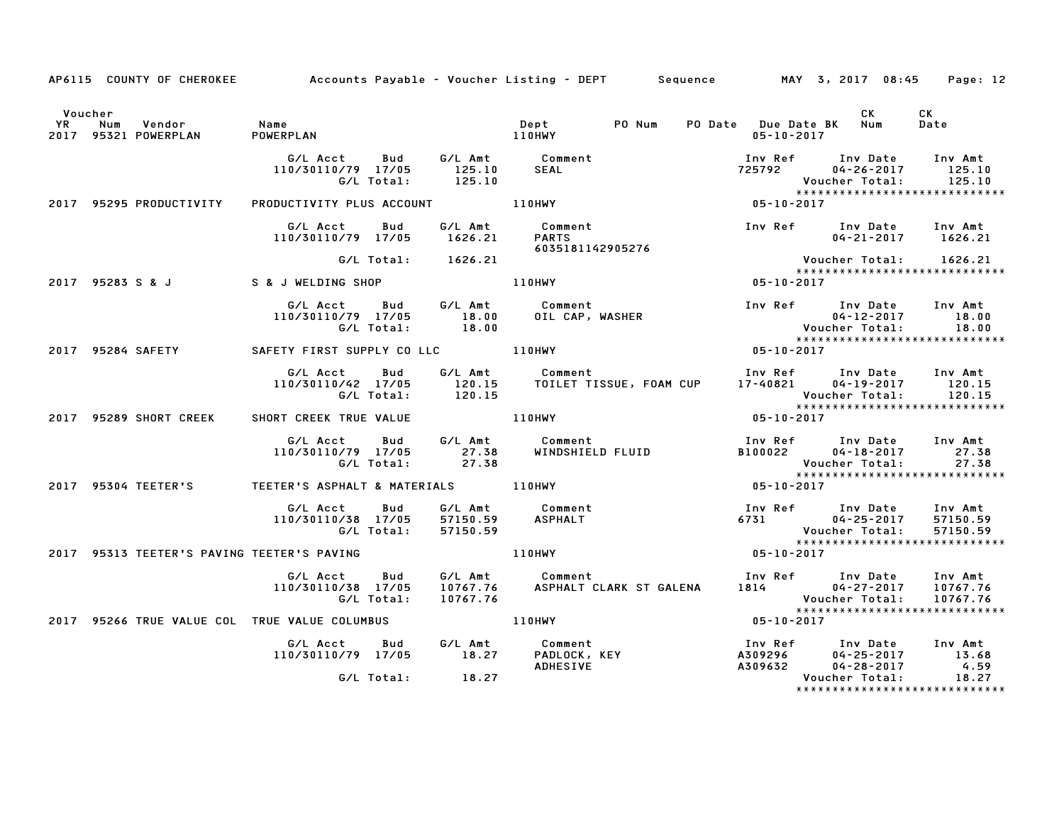|         |                         | AP6115 COUNTY OF CHEROKEE Accounts Payable - Voucher Listing - DEPT Sequence MAY 3, 2017 08:45 Page: 12                                                                                                                             |  |                                                         |                                                                                                                    |            |
|---------|-------------------------|-------------------------------------------------------------------------------------------------------------------------------------------------------------------------------------------------------------------------------------|--|---------------------------------------------------------|--------------------------------------------------------------------------------------------------------------------|------------|
| Voucher |                         |                                                                                                                                                                                                                                     |  |                                                         | CK C<br>PO Date Due Date BK Num<br>05-10-2017                                                                      | CK<br>Date |
|         |                         | G/L Acct  Bud  G/L Amt  Comment<br>110/30110/79  17/05  125.10  SEAL<br>G/L Total:  125.10                                                                                                                                          |  |                                                         | Inv Ref       Inv Date     Inv Amt<br>725792           04-26-2017         125.10                                   |            |
|         | 2017 95295 PRODUCTIVITY |                                                                                                                                                                                                                                     |  |                                                         |                                                                                                                    |            |
|         |                         | G/L Acct      Bud      G/L Amt        Comment<br>110/30110/79 17/05 1626.21 PARTS<br>6035181142905276                                                                                                                               |  |                                                         | Inv Ref       Inv Date     Inv Amt<br>04-21-2017      1626.21                                                      |            |
|         |                         | G/L Total: 1626.21                                                                                                                                                                                                                  |  | Voucher Total: 1626.21<br>***************************** |                                                                                                                    |            |
|         |                         | 2017 95283 S & J S & J WELDING SHOP 110HWY                                                                                                                                                                                          |  |                                                         |                                                                                                                    |            |
|         |                         | G/L Acct Bud G/L Amt Comment 110/30110/79 17/05 18.00<br>110/30110/79 17/05 18.00 0IL CAP, WASHER 110/30110/79 17/05 18.00<br>18.00 6/L Total: 18.00 11 CAP, WASHER 18.00                                                           |  |                                                         |                                                                                                                    |            |
|         |                         | 2017 95284 SAFETY SAFETY FIRST SUPPLY CO LLC 110HWY                                                                                                                                                                                 |  | $05 - 10 - 2017$                                        |                                                                                                                    |            |
|         |                         | G/L Acct Bud G/L Amt Comment Inv Ref Inv Date Inv Amt<br>110/30110/42 17/05 120.15 TOILET TISSUE, FOAM CUP 17–40821 04–19–2017 120.15<br>G/L Total: 120.15 120.15 Voucher Total: 120.15<br>0FT CREEK TRUE VALUE 110HWY 15-10-2017   |  |                                                         |                                                                                                                    |            |
|         |                         | 2017 95289 SHORT CREEK SHORT CREEK TRUE VALUE                                                                                                                                                                                       |  |                                                         |                                                                                                                    |            |
|         |                         |                                                                                                                                                                                                                                     |  |                                                         |                                                                                                                    |            |
|         |                         | 2017 95304 TEETER'S TEETER'S ASPHALT & MATERIALS 110HWY                                                                                                                                                                             |  | $05 - 10 - 2017$                                        |                                                                                                                    |            |
|         |                         | G/L Acct Bud G/L Amt Comment<br>110/30110/38 17/05 57150.59 ASPHALT<br>G/I Total: 57150.59<br>G/L Total: 57150.59                                                                                                                   |  |                                                         | Inv Ref Inv Date Inv Amt<br>6731 04-25-2017 57150.59<br>Voucher Total: 57150.59<br>******************************* |            |
|         |                         | 2017 95313 TEETER'S PAVING TEETER'S PAVING TEEN AND THE RESERVE THAT AND THE RESERVE                                                                                                                                                |  | $05 - 10 - 2017$                                        |                                                                                                                    |            |
|         |                         | G/L Acct Bud<br>110/30110/38 17/05<br>G/L Total:                                                                                                                                                                                    |  |                                                         |                                                                                                                    |            |
|         |                         | 2017 95266 TRUE VALUE COL TRUE VALUE COLUMBUS And Allohny                                                                                                                                                                           |  | $05 - 10 - 2017$                                        |                                                                                                                    |            |
|         |                         | C/L Acct     Bud     G/L Amt     Comment                           Inv Ref    Inv Date    Inv Amt           G/L<br>110/30110/79   17/05          18.27     PADLOCK, KEY                   A309296      04-25-2017        13.68<br>A |  |                                                         |                                                                                                                    |            |
|         |                         |                                                                                                                                                                                                                                     |  |                                                         | *****************************                                                                                      |            |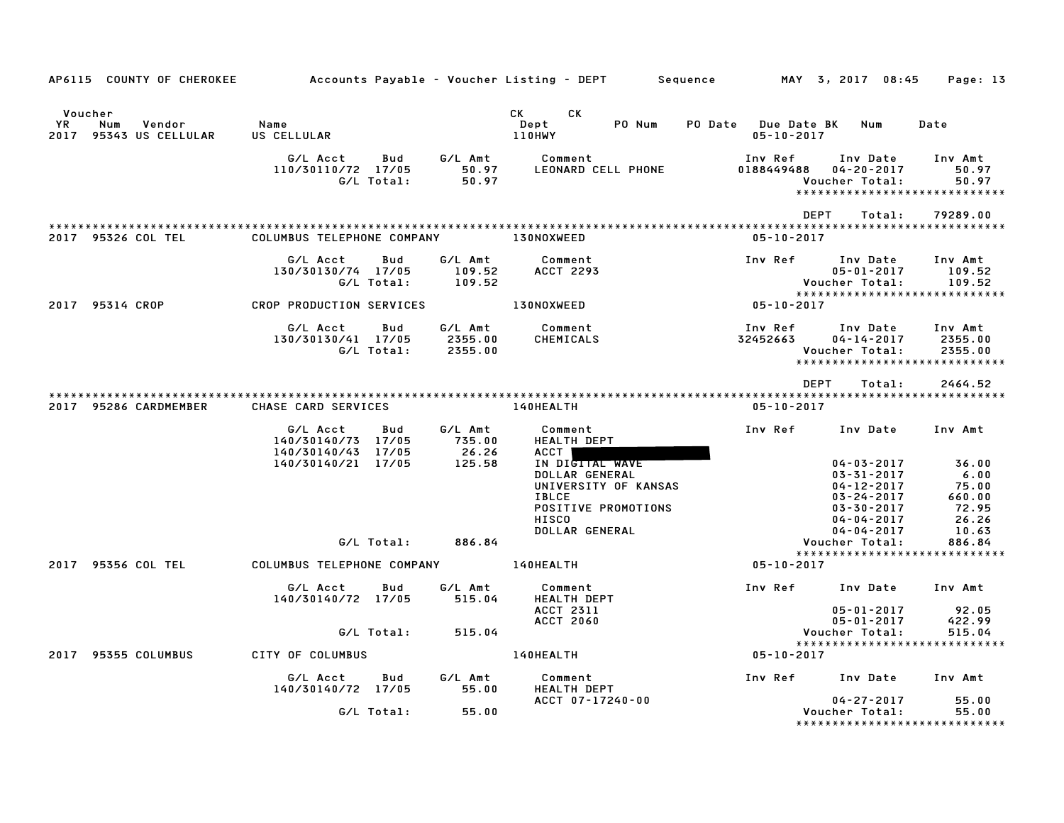| AP6115 COUNTY OF CHEROKEE                     |                                          |                    | Accounts Payable – Voucher Listing – DEPT        Sequence          MAY  3, 2017  08:45 |                                         |                                      | Page: 13                                 |
|-----------------------------------------------|------------------------------------------|--------------------|----------------------------------------------------------------------------------------|-----------------------------------------|--------------------------------------|------------------------------------------|
| Voucher                                       |                                          |                    | CK CK                                                                                  |                                         |                                      |                                          |
| YR<br>Num<br>Vendor<br>2017 95343 US CELLULAR | Name<br>US CELLULAR                      |                    | Dept<br>PO Num<br>110HWY                                                               | PO Date Due Date BK<br>$05 - 10 - 2017$ | Num                                  | Date                                     |
|                                               | G/L Acct<br>Bud<br>110/30110/72 17/05    | G/L Amt<br>50.97   | Comment<br>LEONARD CELL PHONE                                                          | Inv Ref<br>0188449488                   | Inv Date<br>$04 - 20 - 2017$         | Inv Amt<br>50.97                         |
|                                               | G/L Total:                               | 50.97              |                                                                                        |                                         | Voucher Total:                       | 50.97<br>*****************************   |
|                                               |                                          |                    |                                                                                        | <b>DEPT</b>                             | Total:                               | 79289.00                                 |
| 2017 95326 COL TEL                            | COLUMBUS TELEPHONE COMPANY               |                    | 130NOXWEED                                                                             | $05 - 10 - 2017$                        |                                      |                                          |
|                                               | G/L Acct<br>Bud<br>130/30130/74 17/05    | G/L Amt<br>109.52  | Comment<br><b>ACCT 2293</b>                                                            | Inv Ref                                 | Inv Date<br>$05 - 01 - 2017$         | Inv Amt<br>109.52                        |
|                                               | G/L Total:                               | 109.52             |                                                                                        |                                         | Voucher Total:                       | 109.52<br>*****************************  |
| 2017 95314 CROP                               | CROP PRODUCTION SERVICES                 |                    | <b>130NOXWEED</b>                                                                      | 05-10-2017                              |                                      |                                          |
|                                               | G/L Acct<br>Bud<br>130/30130/41 17/05    | G/L Amt<br>2355.00 | Comment<br>CHEMICALS                                                                   | Inv Ref<br>32452663                     | Inv Date<br>$04 - 14 - 2017$         | Inv Amt<br>2355.00                       |
|                                               | G/L Total:                               | 2355.00            |                                                                                        |                                         | Voucher Total:                       | 2355.00<br>***************************** |
|                                               |                                          |                    |                                                                                        | <b>DEPT</b>                             | Total:                               | 2464.52                                  |
| 2017 95286 CARDMEMBER                         | CHASE CARD SERVICES                      |                    | 140HEALTH                                                                              | $05 - 10 - 2017$                        |                                      | **********************                   |
|                                               | G/L Acct<br>Bud<br>140/30140/73 17/05    | G∕L Amt<br>735.00  | Comment<br>HEALTH DEPT                                                                 | Inv Ref                                 | Inv Date                             | Inv Amt                                  |
|                                               | 140/30140/43 17/05<br>140/30140/21 17/05 | 26.26<br>125.58    | ACCT  <br>IN DIGITAL WAVE                                                              |                                         | $04 - 03 - 2017$                     | 36.00                                    |
|                                               |                                          |                    | DOLLAR GENERAL                                                                         |                                         | $03 - 31 - 2017$                     | 6.00                                     |
|                                               |                                          |                    | UNIVERSITY OF KANSAS<br><b>IBLCE</b>                                                   |                                         | $04 - 12 - 2017$<br>$03 - 24 - 2017$ | 75.00<br>660.00                          |
|                                               |                                          |                    | POSITIVE PROMOTIONS                                                                    |                                         | $03 - 30 - 2017$                     | 72.95                                    |
|                                               |                                          |                    | <b>HISCO</b>                                                                           |                                         | $04 - 04 - 2017$                     | 26.26                                    |
|                                               | G/L Total:                               | 886.84             | DOLLAR GENERAL                                                                         |                                         | $04 - 04 - 2017$<br>Voucher Total:   | 10.63<br>886.84                          |
|                                               |                                          |                    |                                                                                        |                                         |                                      | *****************************            |
| 2017 95356 COL TEL                            | COLUMBUS TELEPHONE COMPANY               |                    | 140HEALTH                                                                              | 05-10-2017                              |                                      |                                          |
|                                               | G/L Acct<br>Bud<br>140/30140/72 17/05    | G/L Amt<br>515.04  | Comment<br><b>HEALTH DEPT</b>                                                          | Inv Ref Inv Date                        |                                      | Inv Amt                                  |
|                                               |                                          |                    | <b>ACCT 2311</b>                                                                       |                                         | $05 - 01 - 2017$                     | 92.05                                    |
|                                               | G/L Total:                               | 515.04             | <b>ACCT 2060</b>                                                                       |                                         | $05 - 01 - 2017$<br>Voucher Total:   | 422.99<br>515.04                         |
|                                               |                                          |                    |                                                                                        |                                         |                                      | *****************************            |
| 2017 95355 COLUMBUS                           | CITY OF COLUMBUS                         |                    | 140HEALTH                                                                              | 05-10-2017                              |                                      |                                          |
|                                               | G/L Acct<br>Bud<br>140/30140/72 17/05    | G/L Amt<br>55.00   | Comment<br><b>HEALTH DEPT</b>                                                          | Inv Ref Inv Date                        |                                      | Inv Amt                                  |
|                                               | G/L Total:                               | 55.00              | ACCT 07-17240-00                                                                       |                                         | $04 - 27 - 2017$<br>Voucher Total:   | 55.00<br>55.00                           |
|                                               |                                          |                    |                                                                                        |                                         |                                      | *****************************            |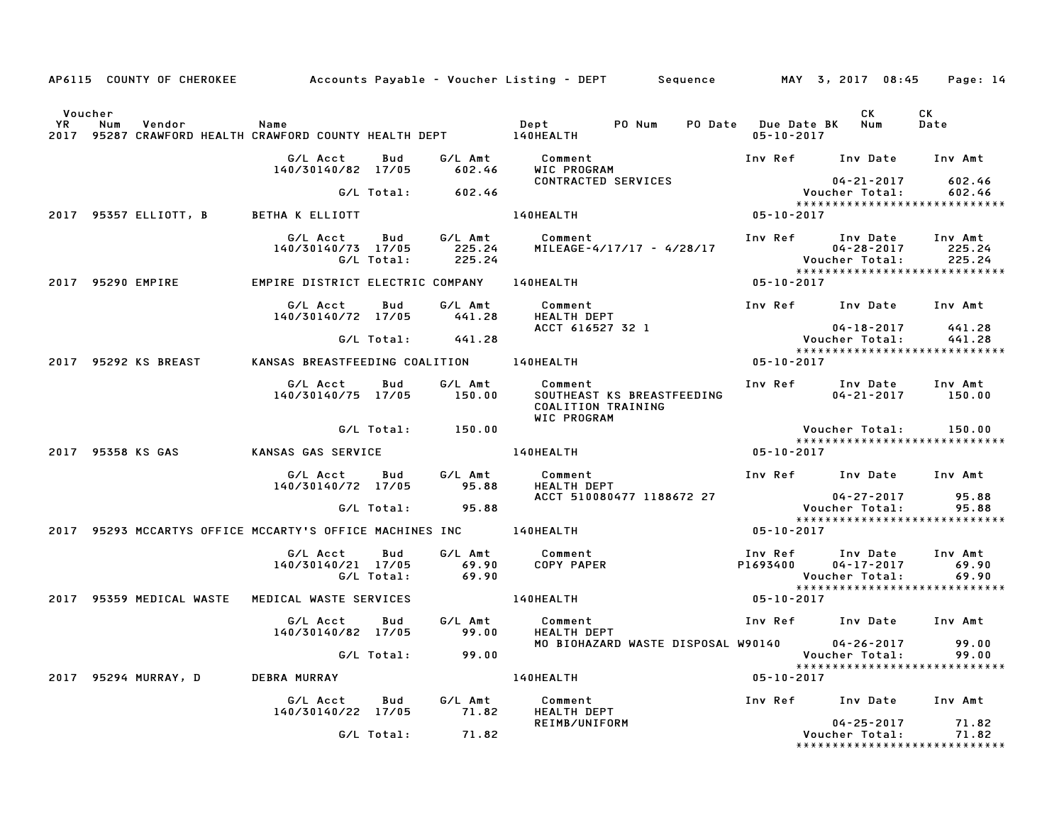|                       |     | AP6115 COUNTY OF CHEROKEE |                                                                     |                   |                             | Accounts Payable – Voucher Listing – DEPT         Sequence                 |                     | MAY 3, 2017 08:45                                                               | Page: 14                    |
|-----------------------|-----|---------------------------|---------------------------------------------------------------------|-------------------|-----------------------------|----------------------------------------------------------------------------|---------------------|---------------------------------------------------------------------------------|-----------------------------|
| Voucher<br>YR<br>2017 | Num | Vendor                    | Name<br>95287 CRAWFORD HEALTH CRAWFORD COUNTY HEALTH DEPT 140HEALTH |                   |                             | Dept<br>PO Num                                                             | $05 - 10 - 2017$    | CK.<br>PO Date Due Date BK Num                                                  | CK<br>Date                  |
|                       |     |                           | G/L Acct<br>140/30140/82 17/05                                      | Bud               | G/L Amt<br>602.46           | Comment<br>WIC PROGRAM                                                     |                     | Inv Ref Inv Date                                                                | Inv Amt                     |
|                       |     |                           |                                                                     | G/L Total:        | 602.46                      | CONTRACTED SERVICES                                                        |                     | 04-21-2017<br>Voucher Total:                                                    | 602.46<br>602.46            |
|                       |     | 2017 95357 ELLIOTT, B     | BETHA K ELLIOTT                                                     |                   |                             | 140HEALTH                                                                  | 05-10-2017          | *****************************                                                   |                             |
|                       |     |                           | G/L Acct<br>140/30140/73 17/05                                      | Bud<br>G/L Total: | G/L Amt<br>225.24<br>225.24 | Comment<br>MILEAGE-4/17/17 - 4/28/17                                       | Inv Ref             | Inv Date<br>$04 - 28 - 2017$<br>Voucher Total:<br>***************************** | Inv Amt<br>225.24<br>225.24 |
|                       |     | 2017 95290 EMPIRE         | EMPIRE DISTRICT ELECTRIC COMPANY 140HEALTH                          |                   |                             |                                                                            | 05-10-2017          |                                                                                 |                             |
|                       |     |                           | G/L Acct<br>140/30140/72 17/05                                      | Bud               | G/L Amt<br>441.28           | Comment<br><b>HEALTH DEPT</b><br>ACCT 616527 32 1                          |                     | Inv Ref Inv Date<br>$04 - 18 - 2017$                                            | Inv Amt<br>441.28           |
|                       |     |                           |                                                                     |                   | G/L Total: 441.28           |                                                                            |                     | Voucher Total:                                                                  | 441.28                      |
|                       |     | 2017 95292 KS BREAST      | KANSAS BREASTFEEDING COALITION                                      |                   |                             | 140HEALTH                                                                  | 05-10-2017          | *****************************                                                   |                             |
|                       |     |                           | G/L Acct<br>140/30140/75 17/05                                      | Bud               | G/L Amt<br>150.00           | Comment<br>SOUTHEAST KS BREASTFEEDING<br>COALITION TRAINING<br>WIC PROGRAM | Inv Ref             | Inv Date<br>$04 - 21 - 2017$                                                    | Inv Amt<br>150.00           |
|                       |     |                           |                                                                     | G/L Total:        | 150.00                      |                                                                            |                     | Voucher Total:<br>*****************************                                 | 150.00                      |
|                       |     | 2017 95358 KS GAS         | KANSAS GAS SERVICE                                                  |                   |                             | 140HEALTH                                                                  | 05-10-2017          |                                                                                 |                             |
|                       |     |                           | G/L Acct<br>140/30140/72 17/05                                      | Bud               | G/L Amt<br>95.88            | Comment<br>HEALTH DEPT                                                     |                     | Inv Ref Inv Date                                                                | Inv Amt<br>95.88            |
|                       |     |                           |                                                                     | G/L Total:        | 95.88                       | ACCT 510080477 1188672 27                                                  |                     | $04 - 27 - 2017$<br>Voucher Total:                                              | 95.88                       |
|                       |     |                           | 2017 95293 MCCARTYS OFFICE MCCARTY'S OFFICE MACHINES INC            |                   |                             | <b>140HEALTH</b>                                                           | $05 - 10 - 2017$    | *****************************                                                   |                             |
|                       |     |                           | G/L Acct<br>140/30140/21 17/05                                      | Bud<br>G/L Total: | G/L Amt<br>69.90<br>69.90   | Comment<br>COPY PAPER                                                      | Inv Ref<br>P1693400 | Inv Date<br>$04 - 17 - 2017$<br>Voucher Total:                                  | Inv Amt<br>69.90<br>69.90   |
|                       |     | 2017 95359 MEDICAL WASTE  | MEDICAL WASTE SERVICES                                              |                   |                             | <b>140HEALTH</b>                                                           | 05-10-2017          | *****************************                                                   |                             |
|                       |     |                           | G/L Acct<br>140/30140/82 17/05                                      | Bud               | G/L Amt<br>99.00            | Comment<br>HEALTH DEPT                                                     |                     | Inv Ref Inv Date                                                                | Inv Amt                     |
|                       |     |                           |                                                                     | G/L Total:        | 99.00                       | MO BIOHAZARD WASTE DISPOSAL W90140                                         |                     | 04-26-2017<br>Voucher Total:<br>*****************************                   | 99.00<br>99.00              |
|                       |     | 2017 95294 MURRAY, D      | <b>DEBRA MURRAY</b>                                                 |                   |                             | 140HEALTH                                                                  | 05-10-2017          |                                                                                 |                             |
|                       |     |                           | G/L Acct<br>140/30140/22 17/05                                      | Bud               | G/L Amt<br>71.82            | Comment<br>HEALTH DEPT                                                     |                     | Inv Ref Inv Date                                                                | Inv Amt                     |
|                       |     |                           |                                                                     | G/L Total:        | 71.82                       | REIMB/UNIFORM                                                              |                     | $04 - 25 - 2017$<br>Voucher Total:<br>*******************************           | 71.82<br>71.82              |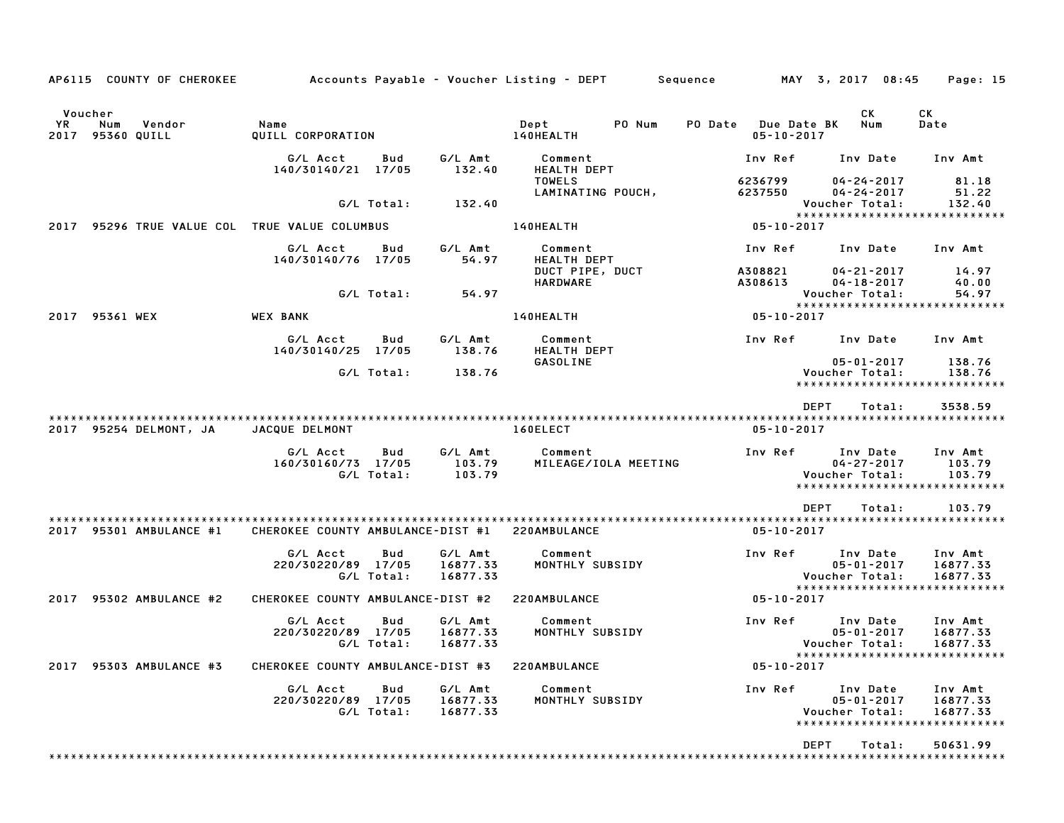| AP6115 COUNTY OF CHEROKEE                              |                                   |                   |                                 | Accounts Payable – Voucher Listing – DEPT | Sequence                                                 | MAY 3, 2017 08:45                                                               | Page: 15                        |
|--------------------------------------------------------|-----------------------------------|-------------------|---------------------------------|-------------------------------------------|----------------------------------------------------------|---------------------------------------------------------------------------------|---------------------------------|
| Voucher<br>YR.<br>Num<br>Vendor<br>95360 QUILL<br>2017 | Name<br>QUILL CORPORATION         |                   |                                 | Dept<br>PO Num<br>140HEALTH               | <b>PO Date</b><br><b>Due Date BK</b><br>$05 - 10 - 2017$ | CK.<br>Num                                                                      | СK<br>Date                      |
|                                                        | G/L Acct<br>140/30140/21 17/05    | Bud               | G/L Amt<br>132.40               | Comment<br><b>HEALTH DEPT</b>             | Inv Ref                                                  | Inv Date                                                                        | Inv Amt                         |
|                                                        |                                   | G/L Total:        | 132.40                          | <b>TOWELS</b><br>LAMINATING POUCH,        | 6236799<br>6237550                                       | $04 - 24 - 2017$<br>$04 - 24 - 2017$<br>Voucher Total:                          | 81.18<br>51.22<br>132.40        |
| 95296 TRUE VALUE COL TRUE VALUE COLUMBUS<br>2017       |                                   |                   |                                 | 140HEALTH                                 | $05 - 10 - 2017$                                         | ******************************                                                  |                                 |
|                                                        | G/L Acct<br>140/30140/76 17/05    | Bud               | G/L Amt<br>54.97                | Comment<br><b>HEALTH DEPT</b>             | Inv Ref                                                  | Inv Date                                                                        | Inv Amt                         |
|                                                        |                                   | G/L Total:        | 54.97                           | DUCT PIPE, DUCT<br><b>HARDWARE</b>        | A308821<br>A308613                                       | $04 - 21 - 2017$<br>$04 - 18 - 2017$<br>Voucher Total:                          | 14.97<br>40.00<br>54.97         |
| 2017<br>95361 WEX                                      | <b>WEX BANK</b>                   |                   |                                 | 140HEALTH                                 | $05 - 10 - 2017$                                         | *****************************                                                   |                                 |
|                                                        | G/L Acct<br>140/30140/25          | Bud<br>17/05      | G/L Amt<br>138.76               | Comment<br><b>HEALTH DEPT</b>             | Inv Ref                                                  | Inv Date                                                                        | Inv Amt                         |
|                                                        |                                   | G/L Total:        | 138.76                          | <b>GASOLINE</b>                           |                                                          | $05 - 01 - 2017$<br>Voucher Total:<br>******************************            | 138.76<br>138.76                |
|                                                        |                                   |                   |                                 |                                           |                                                          | <b>DEPT</b><br>Total:                                                           | 3538.59                         |
| 2017 95254 DELMONT, JA                                 | JACQUE DELMONT                    |                   |                                 | 160ELECT                                  | $05 - 10 - 2017$                                         |                                                                                 |                                 |
|                                                        | G/L Acct<br>160/30160/73 17/05    | Bud<br>G/L Total: | G/L Amt<br>103.79<br>103.79     | Comment<br>MILEAGE/IOLA MEETING           | Inv Ref                                                  | Inv Date<br>$04 - 27 - 2017$<br>Voucher Total:<br>***************************** | Inv Amt<br>103.79<br>103.79     |
| 2017 95301 AMBULANCE #1                                | CHEROKEE COUNTY AMBULANCE-DIST #1 |                   |                                 | 220AMBULANCE                              | $05 - 10 - 2017$                                         | <b>DEPT</b><br>Total:                                                           | 103.79                          |
|                                                        | G/L Acct<br>220/30220/89 17/05    | Bud<br>G/L Total: | G/L Amt<br>16877.33<br>16877.33 | Comment<br>MONTHLY SUBSIDY                | Inv Ref                                                  | Inv Date<br>$05 - 01 - 2017$<br>Voucher Total:<br>***************************** | Inv Amt<br>16877.33<br>16877.33 |
| 95302 AMBULANCE #2<br>2017                             | CHEROKEE COUNTY AMBULANCE-DIST #2 |                   |                                 | 220AMBULANCE                              | $05 - 10 - 2017$                                         |                                                                                 |                                 |
|                                                        | G/L Acct<br>220/30220/89 17/05    | Bud<br>G/L Total: | G/L Amt<br>16877.33<br>16877.33 | Comment<br>MONTHLY SUBSIDY                | Inv Ref                                                  | Inv Date<br>$05 - 01 - 2017$<br>Voucher Total:<br>***************************** | Inv Amt<br>16877.33<br>16877.33 |
| 2017 95303 AMBULANCE #3                                | CHEROKEE COUNTY AMBULANCE-DIST #3 |                   |                                 | 220AMBULANCE                              | $05 - 10 - 2017$                                         |                                                                                 |                                 |
|                                                        | G/L Acct<br>220/30220/89 17/05    | Bud<br>G/L Total: | G/L Amt<br>16877.33<br>16877.33 | Comment<br>MONTHLY SUBSIDY                | Inv Ref                                                  | Inv Date<br>$05 - 01 - 2017$<br>Voucher Total:<br>***************************** | Inv Amt<br>16877.33<br>16877.33 |
|                                                        |                                   |                   |                                 |                                           |                                                          | DEPT<br>Total:                                                                  | 50631.99                        |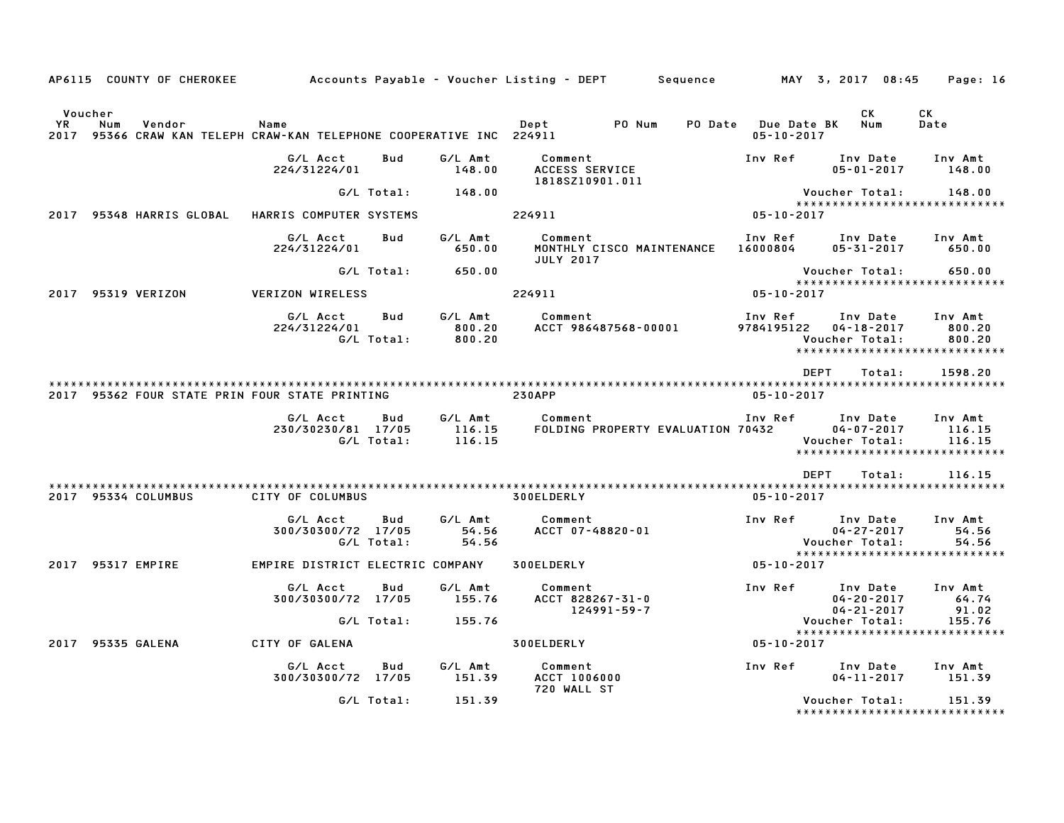|                      |     |                     | AP6115 COUNTY OF CHEROKEE 6 Accounts Payable - Voucher Listing - DEPT 5 Sequence MAY 3, 2017 08:45 Page: 16 |                          |                                            |                                                                            |                  |                                             |                |                                      |          |                                                                       |
|----------------------|-----|---------------------|-------------------------------------------------------------------------------------------------------------|--------------------------|--------------------------------------------|----------------------------------------------------------------------------|------------------|---------------------------------------------|----------------|--------------------------------------|----------|-----------------------------------------------------------------------|
| Voucher<br><b>YR</b> | Num | Vendor              | Name<br>2017 95366 CRAW KAN TELEPH CRAW-KAN TELEPHONE COOPERATIVE INC 224911                                |                          |                                            | Dept PO Num                                                                |                  | PO Date Due Date BK Num<br>$05 - 10 - 2017$ |                | CK                                   |          | CK<br>Date                                                            |
|                      |     |                     | G/L Acct<br>224/31224/01                                                                                    | Bud                      | G/L Amt<br>148.00                          | Comment<br>ACCESS SERVICE<br>1818SZ10901.011                               |                  | Inv Ref                                     |                |                                      |          | Inv Date Inv Amt<br>05-01-2017 148.00                                 |
|                      |     |                     |                                                                                                             |                          | G/L Total: 148.00                          |                                                                            |                  |                                             | Voucher Total: |                                      |          | 148.00                                                                |
|                      |     |                     | 2017 95348 HARRIS GLOBAL HARRIS COMPUTER SYSTEMS                                                            |                          | 224911                                     |                                                                            |                  | $05 - 10 - 2017$                            |                |                                      |          | *****************************                                         |
|                      |     |                     | G/L Acct Bud<br>224/31224/01                                                                                |                          | G/L Amt<br>650.00                          | Comment<br>MONTHLY CISCO MAINTENANCE 16000804<br><b>JULY 2017</b>          |                  |                                             |                |                                      |          | Inv Ref Inv Date Inv Amt<br>$05 - 31 - 2017$ 650.00                   |
|                      |     |                     |                                                                                                             |                          | $G/L$ Total: $650.00$                      |                                                                            |                  |                                             | Voucher Total: |                                      |          | 650.00                                                                |
|                      |     | 2017 95319 VERIZON  | <b>VERIZON WIRELESS</b>                                                                                     |                          |                                            | 224911                                                                     | $05 - 10 - 2017$ |                                             |                |                                      |          |                                                                       |
|                      |     |                     | G/L Acct<br>224/31224/01                                                                                    |                          | Bud G/L Amt<br>800.20<br>G/L Total: 800.20 | <b>Comment</b><br>ACCT 986487568-00001                                     |                  | Inv Ref<br>9784195122                       | Voucher Total: | 04-18-2017                           |          | Inv Date Inv Amt<br>800.20<br>800.20<br>***************************** |
|                      |     |                     | 2017 95362 FOUR STATE PRIN FOUR STATE PRINTING THE RESOURCE 230APP                                          |                          |                                            |                                                                            |                  | 05-10-2017                                  | <b>DEPT</b>    |                                      | Total:   | 1598.20                                                               |
|                      |     |                     | G/L Acct<br>230/30230/81 17/05                                                                              | <b>Bud</b><br>G/L Total: | 116.15<br>116.15                           | G/L Amt Comment<br>116.15 FOLDING PR<br>FOLDING PROPERTY EVALUATION 70432  |                  | Inv Ref                                     | Voucher Total: | $04 - 07 - 2017$                     | Inv Date | Inv Amt<br>116.15<br>116.15<br>******************************         |
|                      |     | 2017 95334 COLUMBUS | CITY OF COLUMBUS                                                                                            |                          |                                            | <b>300ELDERLY</b>                                                          |                  | 05-10-2017                                  | DEPT           |                                      | Total:   | 116.15                                                                |
|                      |     |                     | G/L Acct<br>300/30300/72 17/05                                                                              | Bud<br>G/L Total:        | 54.56<br>54.56                             | G/L Amt Comment<br>ACCT 07-48820-01                                        |                  |                                             | Voucher Total: | $04 - 27 - 2017$                     |          | Inv Ref      Inv Date     Inv Amt<br>54.56<br>54.56                   |
|                      |     | 2017 95317 EMPIRE   | EMPIRE DISTRICT ELECTRIC COMPANY 500ELDERLY                                                                 |                          |                                            |                                                                            |                  | 05-10-2017                                  |                |                                      |          | *****************************                                         |
|                      |     |                     | G/L Acct<br>300/30300/72 17/05                                                                              | Bud                      | G/L Amt<br>155.76                          | Comment<br>ACCT 828267-31-0<br>124991-59-7                                 |                  |                                             |                | $04 - 20 - 2017$<br>$04 - 21 - 2017$ |          | Inv Ref Inv Date Inv Amt<br>64.74<br>91.02                            |
|                      |     |                     |                                                                                                             |                          | G/L Total: 155.76                          |                                                                            |                  |                                             | Voucher Total: |                                      |          | 155.76<br>******************************                              |
|                      |     | 2017 95335 GALENA   | CITY OF GALENA                                                                                              |                          |                                            | 300ELDERLY                                                                 |                  | $05 - 10 - 2017$                            |                |                                      |          |                                                                       |
|                      |     |                     | G/L Acct<br>300/30300/72 17/05                                                                              | Bud                      | 151.39                                     | G/L Amt Comment<br>151.39 ACCT 10060<br><b>ACCT 1006000</b><br>720 WALL ST |                  | Inv Ref Inv Date                            |                | $04 - 11 - 2017$                     |          | Inv Amt<br>151.39                                                     |
|                      |     |                     |                                                                                                             |                          | G/L Total: 151.39                          |                                                                            |                  |                                             | Voucher Total: |                                      |          | 151.39<br>*****************************                               |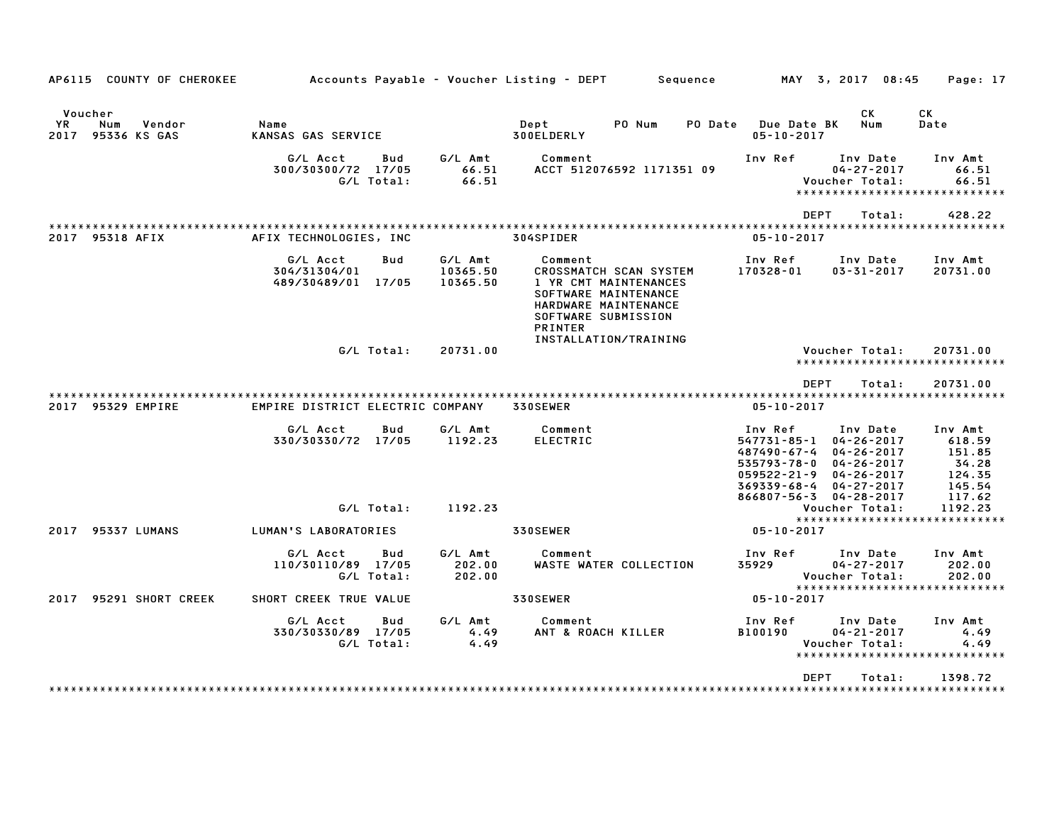| AP6115 COUNTY OF CHEROKEE                               | Accounts Payable – Voucher Listing – DEPT                |                                 | Sequence                                                                                                                                                   | MAY 3, 2017 08:45                                                                                                                                                                                                                                          | Page: 17                                                           |
|---------------------------------------------------------|----------------------------------------------------------|---------------------------------|------------------------------------------------------------------------------------------------------------------------------------------------------------|------------------------------------------------------------------------------------------------------------------------------------------------------------------------------------------------------------------------------------------------------------|--------------------------------------------------------------------|
| Voucher<br>YR.<br>Num<br>Vendor<br>95336 KS GAS<br>2017 | Name<br><b>KANSAS GAS SERVICE</b>                        |                                 | Dept<br>PO Num<br>PO Date<br>300ELDERLY                                                                                                                    | СK<br><b>Due Date BK</b><br>Num<br>$05 - 10 - 2017$                                                                                                                                                                                                        | СK<br>Date                                                         |
|                                                         | G/L Acct<br>Bud<br>300/30300/72 17/05<br>G/L Total:      | G/L Amt<br>66.51<br>66.51       | Comment<br>ACCT 512076592 1171351 09                                                                                                                       | Inv Ref<br>Inv Date<br>$04 - 27 - 2017$<br>Voucher Total:<br>*****************************                                                                                                                                                                 | Inv Amt<br>66.51<br>66.51                                          |
| 2017 95318 AFIX                                         | AFIX TECHNOLOGIES, INC                                   |                                 | 304SPIDER                                                                                                                                                  | <b>DEPT</b><br>Total:<br>*****************<br>$05 - 10 - 2017$                                                                                                                                                                                             | 428.22<br>**********************                                   |
|                                                         | G/L Acct<br>Bud<br>304/31304/01<br>489/30489/01<br>17/05 | G/L Amt<br>10365.50<br>10365.50 | Comment<br><b>CROSSMATCH SCAN SYSTEM</b><br>1 YR CMT MAINTENANCES<br>SOFTWARE MAINTENANCE<br>HARDWARE MAINTENANCE<br>SOFTWARE SUBMISSION<br><b>PRINTER</b> | Inv Date<br>Inv Ref<br>170328-01<br>$03 - 31 - 2017$                                                                                                                                                                                                       | Inv Amt<br>20731.00                                                |
|                                                         | G/L Total:                                               | 20731.00                        | INSTALLATION/TRAINING                                                                                                                                      | Voucher Total:<br>*****************************                                                                                                                                                                                                            | 20731.00                                                           |
|                                                         |                                                          |                                 |                                                                                                                                                            | <b>DEPT</b><br>Total:                                                                                                                                                                                                                                      | 20731.00                                                           |
| 95329 EMPIRE<br>2017                                    | EMPIRE DISTRICT ELECTRIC COMPANY                         |                                 | 330SEWER                                                                                                                                                   | $05 - 10 - 2017$                                                                                                                                                                                                                                           |                                                                    |
|                                                         | G/L Acct<br>Bud<br>330/30330/72 17/05                    | G/L Amt<br>1192.23              | Comment<br><b>ELECTRIC</b>                                                                                                                                 | Inv Date<br>Inv Ref<br>$547731 - 85 - 1$<br>$04 - 26 - 2017$<br>$487490 - 67 - 4$<br>$04 - 26 - 2017$<br>$535793 - 78 - 0$<br>$04 - 26 - 2017$<br>$059522 - 21 - 9$<br>$04 - 26 - 2017$<br>$369339 - 68 - 4$<br>$04 - 27 - 2017$<br>866807-56-3 04-28-2017 | Inv Amt<br>618.59<br>151.85<br>34.28<br>124.35<br>145.54<br>117.62 |
|                                                         | G/L Total:                                               | 1192.23                         |                                                                                                                                                            | Voucher Total:                                                                                                                                                                                                                                             | 1192.23                                                            |
| 95337 LUMANS<br>2017                                    | LUMAN'S LABORATORIES                                     |                                 | 330SEWER                                                                                                                                                   | *****************************<br>$05 - 10 - 2017$                                                                                                                                                                                                          |                                                                    |
|                                                         | G/L Acct<br>Bud<br>110/30110/89 17/05<br>G/L Total:      | G/L Amt<br>202.00<br>202.00     | Comment<br>WASTE WATER COLLECTION                                                                                                                          | Inv Ref<br>Inv Date<br>35929<br>$04 - 27 - 2017$<br>Voucher Total:<br>*****************************                                                                                                                                                        | Inv Amt<br>202.00<br>202.00                                        |
| 95291 SHORT CREEK<br>2017                               | SHORT CREEK TRUE VALUE                                   |                                 | 330SEWER                                                                                                                                                   | $05 - 10 - 2017$                                                                                                                                                                                                                                           |                                                                    |
|                                                         | G/L Acct<br>Bud<br>330/30330/89 17/05<br>G/L Total:      | G/L Amt<br>4.49<br>4.49         | Comment<br>ANT & ROACH KILLER                                                                                                                              | Inv Ref<br>Inv Date<br>$04 - 21 - 2017$<br><b>B100190</b><br>Voucher Total:<br>****************                                                                                                                                                            | Inv Amt<br>4.49<br>4.49                                            |
|                                                         |                                                          |                                 |                                                                                                                                                            | <b>DEPT</b><br>Total:                                                                                                                                                                                                                                      | 1398.72<br>********************                                    |